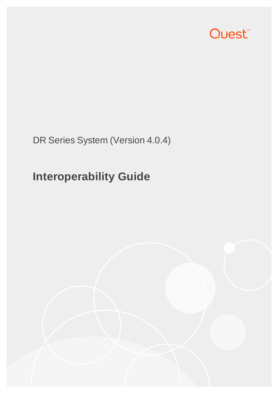

DR Series System (Version 4.0.4)

# **Interoperability Guide**

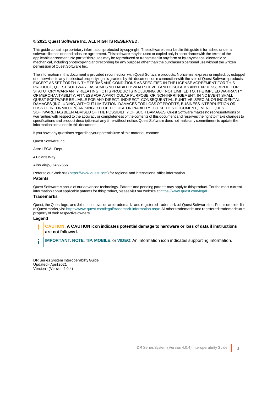#### **© 2021 Quest Software Inc. ALL RIGHTS RESERVED.**

This guide contains proprietary information protected by copyright. The software described in this guide is furnished under a software license or nondisclosure agreement. This software may be used or copied only in accordance with the terms of the applicable agreement. No part of this guide may be reproduced or transmitted in any form or by any means, electronic or mechanical, including photocopying and recording for any purpose other than the purchaser's personal use without the written permission of Quest Software Inc.

The information in this document is provided in connection with Quest Software products. No license, express or implied, by estoppel or otherwise, to any intellectual property right is granted by this document or in connection with the sale of Quest Software products. EXCEPT AS SET FORTH IN THE TERMS AND CONDITIONS AS SPECIFIED IN THE LICENSE AGREEMENT FOR THIS PRODUCT, QUEST SOFTWARE ASSUMES NO LIABILITY WHATSOEVER AND DISCLAIMS ANY EXPRESS, IMPLIED OR STATUTORY WARRANTY RELATING TO ITS PRODUCTS INCLUDING, BUT NOT LIMITED TO, THE IMPLIED WARRANTY OF MERCHANTABILITY, FITNESS FOR A PARTICULAR PURPOSE, OR NON-INFRINGEMENT. IN NO EVENT SHALL QUEST SOFTWARE BE LIABLE FOR ANY DIRECT, INDIRECT, CONSEQUENTIAL, PUNITIVE, SPECIAL OR INCIDENTAL DAMAGES (INCLUDING, WITHOUT LIMITATION, DAMAGES FOR LOSS OF PROFITS, BUSINESS INTERRUPTION OR LOSS OF INFORMATION) ARISING OUT OF THE USE OR INABILITY TO USE THIS DOCUMENT, EVEN IF QUEST SOFTWARE HAS BEEN ADVISED OF THE POSSIBILITY OF SUCH DAMAGES. Quest Software makes no representations or warranties with respect to the accuracy or completeness of the contents of this document and reserves the right to make changes to specifications and product descriptions at any time without notice. Quest Software does not make any commitment to update the information contained in this document.

If you have any questions regarding your potential use of this material, contact:

Quest Software Inc.

Attn: LEGAL Dept

4 Polaris Way

Aliso Viejo, CA 92656

Refer to our Web site ([https://www.quest.com](https://www.quest.com/)) for regional and international office information.

**Patents**

Quest Software is proud of our advanced technology. Patents and pending patents may apply to this product. For the most current information about applicable patents for this product, please visit our website at <https://www.quest.com/legal>.

#### **Trademarks**

Quest, the Quest logo, and Join the Innovation are trademarks and registered trademarks of Quest Software Inc. For a complete list of Quest marks, visit <https://www.quest.com/legal/trademark-information.aspx>. All other trademarks and registered trademarks are property of their respective owners.

#### **Legend**

ī **CAUTION: A CAUTION icon indicates potential damage to hardware or loss of data if instructions are not followed.**

**IMPORTANT**, **NOTE**, **TIP**, **MOBILE**, or **VIDEO**: An information icon indicates supporting information. i

DR Series System Interoperability Guide Updated - April 2021 Version - (Version 4.0.4)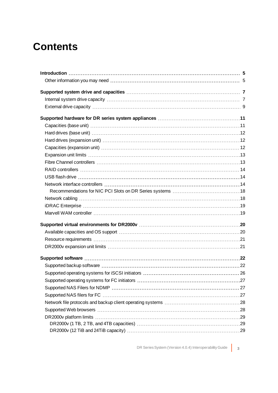### **Contents**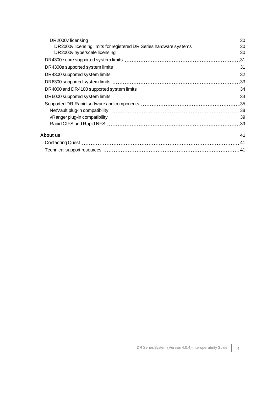| DR2000v licensing limits for registered DR Series hardware systems 30 |  |
|-----------------------------------------------------------------------|--|
|                                                                       |  |
|                                                                       |  |
|                                                                       |  |
|                                                                       |  |
|                                                                       |  |
|                                                                       |  |
|                                                                       |  |
|                                                                       |  |
|                                                                       |  |
|                                                                       |  |
|                                                                       |  |
|                                                                       |  |
|                                                                       |  |
|                                                                       |  |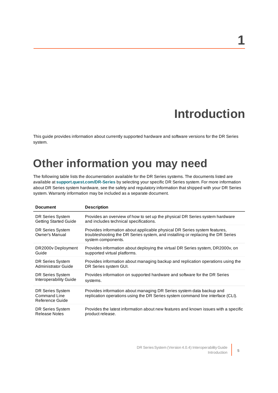# **Introduction**

**1**

<span id="page-4-1"></span><span id="page-4-0"></span>This guide provides information about currently supported hardware and software versions for the DR Series system.

### **Other information you may need**

The following table lists the documentation available for the DR Series systems. The documents listed are available at **[support.quest.com/DR-Series](http://support.quest.com/DR-Series)** by selecting your specific DR Series system. For more information about DR Series system hardware, see the safety and regulatory information that shipped with your DR Series system. Warranty information may be included as a separate document.

| <b>Document</b>                                     | <b>Description</b>                                                                                                                                                                 |
|-----------------------------------------------------|------------------------------------------------------------------------------------------------------------------------------------------------------------------------------------|
| DR Series System                                    | Provides an overview of how to set up the physical DR Series system hardware                                                                                                       |
| <b>Getting Started Guide</b>                        | and includes technical specifications.                                                                                                                                             |
| DR Series System<br>Owner's Manual                  | Provides information about applicable physical DR Series system features,<br>troubleshooting the DR Series system, and installing or replacing the DR Series<br>system components. |
| DR2000v Deployment                                  | Provides information about deploying the virtual DR Series system, DR2000v, on                                                                                                     |
| Guide                                               | supported virtual platforms.                                                                                                                                                       |
| DR Series System                                    | Provides information about managing backup and replication operations using the                                                                                                    |
| Administrator Guide                                 | DR Series system GUI.                                                                                                                                                              |
| DR Series System                                    | Provides information on supported hardware and software for the DR Series                                                                                                          |
| <b>Interoperability Guide</b>                       | systems.                                                                                                                                                                           |
| DR Series System<br>Command Line<br>Reference Guide | Provides information about managing DR Series system data backup and<br>replication operations using the DR Series system command line interface (CLI).                            |
| DR Series System                                    | Provides the latest information about new features and known issues with a specific                                                                                                |
| <b>Release Notes</b>                                | product release.                                                                                                                                                                   |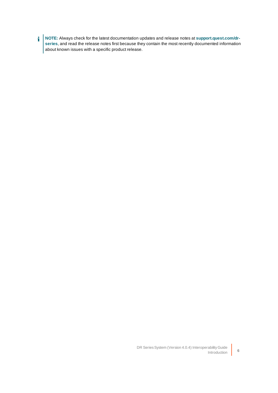í **NOTE:** Always check for the latest documentation updates and release notes at **[support.quest.com/dr](http://support.quest.com/DR-Series)[series](http://support.quest.com/DR-Series)**, and read the release notes first because they contain the most recently documented information about known issues with a specific product release.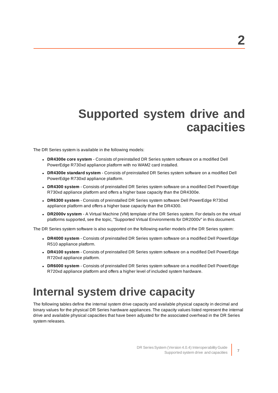# <span id="page-6-0"></span>**Supported system drive and capacities**

The DR Series system is available in the following models:

- <sup>l</sup> **DR4300e core system**  Consists of preinstalled DR Series system software on a modified Dell PowerEdge R730xd appliance platform with no WAM2 card installed.
- <sup>l</sup> **DR4300e standard system** Consists of preinstalled DR Series system software on a modified Dell PowerEdge R730xd appliance platform.
- <sup>l</sup> **DR4300 system** Consists of preinstalled DR Series system software on a modified Dell PowerEdge R730xd appliance platform and offers a higher base capacity than the DR4300e.
- <sup>l</sup> **DR6300 system** Consists of preinstalled DR Series system software Dell PowerEdge R730xd appliance platform and offers a higher base capacity than the DR4300.
- **DR2000v system** A Virtual Machine (VM) template of the DR Series system. For details on the virtual platforms supported, see the topic, "Supported Virtual Environments for DR2000v" in this document.

The DR Series system software is also supported on the following earlier models of the DR Series system:

- **· DR4000 system** Consists of preinstalled DR Series system software on a modified Dell PowerEdge R510 appliance platform.
- **· DR4100 system** Consists of preinstalled DR Series system software on a modified Dell PowerEdge R720xd appliance platform.
- <sup>l</sup> **DR6000 system** Consists of preinstalled DR Series system software on a modified Dell PowerEdge R720xd appliance platform and offers a higher level of included system hardware.

### <span id="page-6-1"></span>**Internal system drive capacity**

The following tables define the internal system drive capacity and available physical capacity in decimal and binary values for the physical DR Series hardware appliances. The capacity values listed represent the internal drive and available physical capacities that have been adjusted for the associated overhead in the DR Series system releases.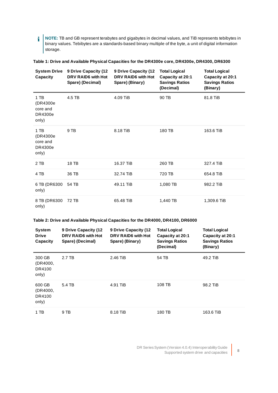i **NOTE:** TB and GB represent terabytes and gigabytes in decimal values, and TiB represents tebibytes in binary values. Tebibytes are a standards-based binary multiple of the byte, a unit of digital information storage.

**Table 1: Drive and Available Physical Capacities for the DR4300e core, DR4300e, DR4300, DR6300**

| <b>System Drive</b><br>Capacity                    | 9 Drive Capacity (12<br>DRV RAID6 with Hot<br>Spare) (Decimal) | 9 Drive Capacity (12<br>DRV RAID6 with Hot<br>Spare) (Binary) | <b>Total Logical</b><br>Capacity at 20:1<br><b>Savings Ratios</b><br>(Decimal) | <b>Total Logical</b><br>Capacity at 20:1<br><b>Savings Ratios</b><br>(Binary) |
|----------------------------------------------------|----------------------------------------------------------------|---------------------------------------------------------------|--------------------------------------------------------------------------------|-------------------------------------------------------------------------------|
| 1 TB<br>(DR4300e)<br>core and<br>DR4300e<br>only)  | 4.5 TB                                                         | 4.09 TiB                                                      | 90 TB                                                                          | 81.8 TiB                                                                      |
| $1$ TB<br>(DR4300e<br>core and<br>DR4300e<br>only) | 9 TB                                                           | 8.18 TiB                                                      | 180 TB                                                                         | 163.6 TiB                                                                     |
| 2 TB                                               | 18 TB                                                          | 16.37 TiB                                                     | 260 TB                                                                         | 327.4 TiB                                                                     |
| 4 TB                                               | 36 TB                                                          | 32.74 TiB                                                     | 720 TB                                                                         | 654.8 TiB                                                                     |
| 6 TB (DR6300<br>only)                              | 54 TB                                                          | 49.11 TiB                                                     | 1,080 TB                                                                       | 982.2 TiB                                                                     |
| 8 TB (DR6300<br>only)                              | 72 TB                                                          | 65.48 TiB                                                     | 1,440 TB                                                                       | 1,309.6 TiB                                                                   |

#### **Table 2: Drive and Available Physical Capacities for the DR4000, DR4100, DR6000**

| <b>System</b><br><b>Drive</b><br>Capacity | 9 Drive Capacity (12<br>DRV RAID6 with Hot<br>Spare) (Decimal) | 9 Drive Capacity (12<br>DRV RAID6 with Hot<br>Spare) (Binary) | <b>Total Logical</b><br>Capacity at 20:1<br><b>Savings Ratios</b><br>(Decimal) | <b>Total Logical</b><br>Capacity at 20:1<br><b>Savings Ratios</b><br>(Binary) |
|-------------------------------------------|----------------------------------------------------------------|---------------------------------------------------------------|--------------------------------------------------------------------------------|-------------------------------------------------------------------------------|
| 300 GB<br>(DR4000,<br>DR4100<br>only)     | 2.7 TB                                                         | 2.46 TiB                                                      | 54 TB                                                                          | 49.2 TiB                                                                      |
| 600 GB<br>(DR4000,<br>DR4100<br>only)     | 5.4 TB                                                         | 4.91 TiB                                                      | 108 TB                                                                         | 98.2 TiB                                                                      |
| 1 TB                                      | 9 TB                                                           | 8.18 TiB                                                      | 180 TB                                                                         | 163.6 TiB                                                                     |

DR SeriesSystem (Version 4.0.4) InteroperabilityGuide Supported system drive and capacities **<sup>8</sup>**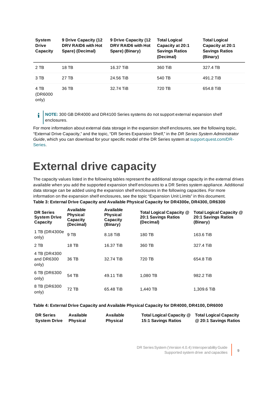| <b>System</b><br><b>Drive</b><br>Capacity | 9 Drive Capacity (12<br>DRV RAID6 with Hot<br>Spare) (Decimal) | 9 Drive Capacity (12<br>DRV RAID6 with Hot<br>Spare) (Binary) | <b>Total Logical</b><br>Capacity at 20:1<br><b>Savings Ratios</b><br>(Decimal) | <b>Total Logical</b><br>Capacity at 20:1<br><b>Savings Ratios</b><br>(Binary) |
|-------------------------------------------|----------------------------------------------------------------|---------------------------------------------------------------|--------------------------------------------------------------------------------|-------------------------------------------------------------------------------|
| 2 TB                                      | 18 TB                                                          | 16.37 TiB                                                     | 360 TiB                                                                        | 327.4 TB                                                                      |
| 3 TB                                      | 27 TB                                                          | 24.56 TiB                                                     | 540 TB                                                                         | 491.2 TiB                                                                     |
| 4 TB<br>(DR6000)<br>only)                 | 36 TB                                                          | 32.74 TiB                                                     | 720 TB                                                                         | 654.8 TiB                                                                     |

**NOTE:** 300 GB DR4000 and DR4100 Series systems do not support external expansion shelf i enclosures.

For more information about external data storage in the expansion shelf enclosures, see the following topic, "External Drive Capacity," and the topic, "DR Series Expansion Shelf," in the DR Series System Administrator Guide, which you can download for your specific model of the DR Series system at [support.quest.com/DR-](http://support.quest.com/DR-Series)[Series.](http://support.quest.com/DR-Series)

### <span id="page-8-0"></span>**External drive capacity**

The capacity values listed in the following tables represent the additional storage capacity in the external drives available when you add the supported expansion shelf enclosures to a DR Series system appliance. Additional data storage can be added using the expansion shelf enclosures in the following capacities. For more information on the expansion shelf enclosures, see the topic "Expansion Unit Limits" in this document.

#### **Table 3: External Drive Capacity and Available Physical Capacity for DR4300e, DR4300, DR6300**

| <b>DR Series</b><br><b>System Drive</b><br>Capacity | Available<br><b>Physical</b><br>Capacity<br>(Decimal) | <b>Available</b><br><b>Physical</b><br>Capacity<br>(Binary) | Total Logical Capacity @<br><b>20:1 Savings Ratios</b><br>(Decimal) | Total Logical Capacity @<br><b>20:1 Savings Ratios</b><br>(Binary) |
|-----------------------------------------------------|-------------------------------------------------------|-------------------------------------------------------------|---------------------------------------------------------------------|--------------------------------------------------------------------|
| 1 TB (DR4300e)<br>only)                             | 9 TB                                                  | 8.18 TiB                                                    | 180 TB                                                              | 163.6 TiB                                                          |
| 2 TB                                                | 18 TB                                                 | 16.37 TiB                                                   | 360 TB                                                              | 327.4 TiB                                                          |
| 4 TB (DR4300)<br>and DR6300<br>only)                | 36 TB                                                 | 32.74 TiB                                                   | 720 TB                                                              | 654.8 TiB                                                          |
| 6 TB (DR6300<br>only)                               | 54 TB                                                 | 49.11 TiB                                                   | 1.080 TB                                                            | 982.2 TiB                                                          |
| 8 TB (DR6300<br>only)                               | 72 TB                                                 | 65.48 TiB                                                   | 1,440 TB                                                            | 1,309.6 TiB                                                        |

#### **Table 4: External Drive Capacity and Available Physical Capacity for DR4000, DR4100, DR6000**

| <b>DR Series</b>    | Available | Available       | Total Logical Capacity @ Total Logical Capacity |                       |
|---------------------|-----------|-----------------|-------------------------------------------------|-----------------------|
| <b>System Drive</b> | Phvsical  | <b>Physical</b> | 15:1 Savings Ratios                             | @ 20:1 Savings Ratios |

DR Series System (Version 4.0.4) Interoperability Guide Supported system drive and capacities **<sup>9</sup>**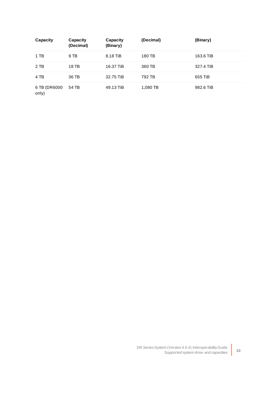| Capacity              | Capacity<br>(Decimal) | Capacity<br>(Binary) | (Decimal) | (Binary)  |
|-----------------------|-----------------------|----------------------|-----------|-----------|
| 1 TB                  | 9 TB                  | 8.18 TiB             | 180 TB    | 163.6 TiB |
| 2 TB                  | 18 TB                 | 16.37 TiB            | 360 TB    | 327.4 TiB |
| 4 TB                  | 36 TB                 | 32.75 TiB            | 792 TB    | 655 TiB   |
| 6 TB (DR6000<br>only) | 54 TB                 | 49.13 TiB            | 1,080 TB  | 982.6 TiB |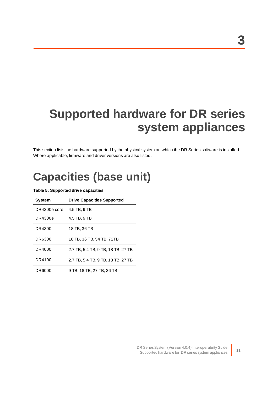# <span id="page-10-0"></span>**Supported hardware for DR series system appliances**

<span id="page-10-1"></span>This section lists the hardware supported by the physical system on which the DR Series software is installed. Where applicable, firmware and driver versions are also listed.

## **Capacities (base unit)**

| <b>System</b> | <b>Drive Capacities Supported</b>  |
|---------------|------------------------------------|
| DR4300e core  | 4.5 TB, 9 TB                       |
| DR4300e       | 4.5 TB, 9 TB                       |
| DR4300        | 18 TB, 36 TB                       |
| DR6300        | 18 TB. 36 TB. 54 TB. 72TB          |
| DR4000        | 2.7 TB, 5.4 TB, 9 TB, 18 TB, 27 TB |
| DR4100        | 2.7 TB, 5.4 TB, 9 TB, 18 TB, 27 TB |
| DR6000        | 9 TB. 18 TB. 27 TB. 36 TB          |

#### **Table 5: Supported drive capacities**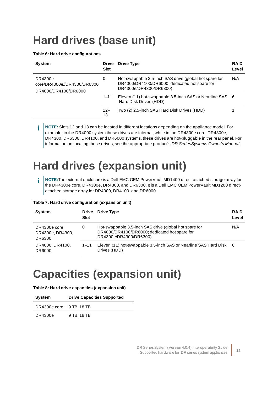# <span id="page-11-0"></span>**Hard drives (base unit)**

#### **Table 6: Hard drive configurations**

| <b>System</b>                                                  | <b>Drive</b><br><b>Slot</b> | <b>Drive Type</b>                                                                                                                 | <b>RAID</b><br>Level |
|----------------------------------------------------------------|-----------------------------|-----------------------------------------------------------------------------------------------------------------------------------|----------------------|
| DR4300e<br>core/DR4300e//DR4300/DR6300<br>DR4000/DR4100/DR6000 | 0                           | Hot-swappable 3.5-inch SAS drive (global hot spare for<br>DR4000/DR4100/DR6000; dedicated hot spare for<br>DR4300e/DR4300/DR6300) | N/A                  |
|                                                                | $1 - 11$                    | Eleven (11) hot-swappable 3.5-inch SAS or Nearline SAS 6<br>Hard Disk Drives (HDD)                                                |                      |
|                                                                | $12 -$<br>13                | Two (2) 2.5-inch SAS Hard Disk Drives (HDD)                                                                                       |                      |

**NOTE:** Slots 12 and 13 can be located in different locations depending on the appliance model. For i example, in the DR4000 system these drives are internal, while in the DR4300e core, DR4300e, DR4300, DR6300, DR4100, and DR6000 systems, these drives are hot-pluggable in the rear panel. For information on locating these drives, see the appropriate product's DR SeriesSystems Owner's Manual.

# <span id="page-11-1"></span>**Hard drives (expansion unit)**

**NOTE:**The external enclosure is a Dell EMC OEM PowerVault MD1400 direct-attached storage array for f the DR4300e core, DR4300e, DR4300, and DR6300. It is a Dell EMC OEM PowerVault MD1200 directattached storage array for DR4000, DR4100, and DR6000.

#### **Table 7: Hard drive configuration (expansion unit)**

| <b>System</b>                                    | Drive<br><b>Slot</b> | <b>Drive Type</b>                                                                                                                 | <b>RAID</b><br>Level |
|--------------------------------------------------|----------------------|-----------------------------------------------------------------------------------------------------------------------------------|----------------------|
| DR4300e core,<br>0<br>DR4300e, DR4300,<br>DR6300 |                      | Hot-swappable 3.5-inch SAS drive (global hot spare for<br>DR4000/DR4100/DR6000; dedicated hot spare for<br>DR4300e/DR4300/DR6300) | N/A                  |
| DR4000, DR4100,<br>DR6000                        | $1 - 11$             | Eleven (11) hot-swappable 3.5-inch SAS or Nearline SAS Hard Disk 6<br>Drives (HDD)                                                |                      |

### <span id="page-11-2"></span>**Capacities (expansion unit)**

| Table 8: Hard drive capacities (expansion unit) |  |
|-------------------------------------------------|--|
|-------------------------------------------------|--|

| System                   | <b>Drive Capacities Supported</b> |
|--------------------------|-----------------------------------|
| DR4300e core 9 TB, 18 TB |                                   |
| DR4300e                  | 9 TB, 18 TB                       |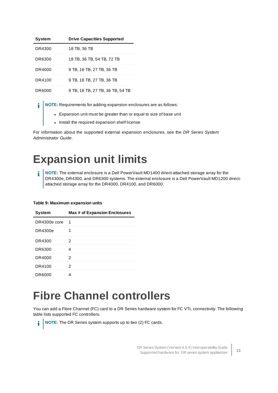| <b>System</b> | <b>Drive Capacities Supported</b> |
|---------------|-----------------------------------|
| DR4300        | 18 TB. 36 TB                      |
| DR6300        | 18 TB, 36 TB, 54 TB, 72 TB        |
| DR4000        | 9 TB, 18 TB, 27 TB, 36 TB         |
| DR4100        | 9 TB, 18 TB, 27 TB, 36 TB         |
| DR6000        | 9 TB, 18 TB, 27 TB, 36 TB, 54 TB  |

**NOTE:** Requirements for adding expansion enclosures are as follows: f

- Expansion unit must be greater than or equal to size of base unit
- Install the required expansion shelf license

<span id="page-12-0"></span>For information about the supported external expansion enclosures, see the DR Series System Administrator Guide.

### **Expansion unit limits**

i **NOTE:** The external enclosure is a Dell PowerVault MD1400 direct-attached storage array for the DR4300e, DR4300, and DR6300 systems. The external enclosure is a Dell PowerVault MD1200 directattached storage array for the DR4000, DR4100, and DR6000.

#### **Table 9: Maximum expansion units**

| <b>System</b> | Max # of Expansion Enclosures |
|---------------|-------------------------------|
| DR4300e core  | 1                             |
| DR4300e       | 1                             |
| DR4300        | 2                             |
| DR6300        | 4                             |
| DR4000        | 2                             |
| DR4100        | 2                             |
| DR6000        | 4                             |

### <span id="page-12-1"></span>**Fibre Channel controllers**

You can add a Fibre Channel (FC) card to a DR Series hardware system for FC VTL connectivity. The following table lists supported FC controllers.

**NOTE:** The DR Series system supports up to two (2) FC cards. i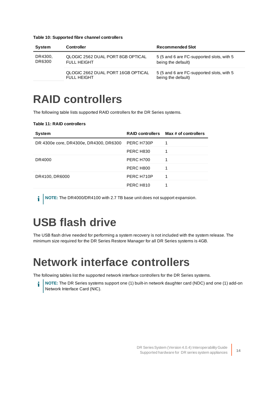| System            | <b>Controller</b>                                        | <b>Recommended Slot</b>                                         |
|-------------------|----------------------------------------------------------|-----------------------------------------------------------------|
| DR4300,<br>DR6300 | QLOGIC 2562 DUAL PORT 8GB OPTICAL<br><b>FULL HEIGHT</b>  | 5 (5 and 6 are FC-supported slots, with 5<br>being the default) |
|                   | QLOGIC 2662 DUAL PORT 16GB OPTICAL<br><b>FULL HEIGHT</b> | 5 (5 and 6 are FC-supported slots, with 5<br>being the default) |

#### **Table 10: Supported fibre channel controllers**

### <span id="page-13-0"></span>**RAID controllers**

The following table lists supported RAID controllers for the DR Series systems.

#### **Table 11: RAID controllers**

| <b>System</b>                          |            | RAID controllers Max # of controllers |
|----------------------------------------|------------|---------------------------------------|
| DR 4300e core, DR4300e, DR4300, DR6300 | PERC H730P | 1                                     |
|                                        | PERC H830  | 1                                     |
| DR4000                                 | PERC H700  | 1                                     |
|                                        | PERC H800  | 1                                     |
| DR4100, DR6000                         | PERC H710P | 1                                     |
|                                        | PERC H810  |                                       |

<span id="page-13-1"></span>**i** NOTE: The DR4000/DR4100 with 2.7 TB base unit does not support expansion.

# **USB flash drive**

<span id="page-13-2"></span>The USB flash drive needed for performing a system recovery is not included with the system release. The minimum size required for the DR Series Restore Manager for all DR Series systems is 4GB.

### **Network interface controllers**

The following tables list the supported network interface controllers for the DR Series systems.

**NOTE:** The DR Series systems support one (1) built-in network daughter card (NDC) and one (1) add-on i Network Interface Card (NIC).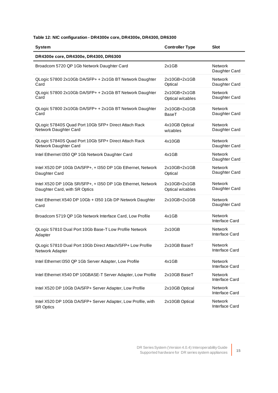#### **Table 12: NIC configuration - DR4300e core, DR4300e, DR4300, DR6300**

| <b>System</b>                                                                                | <b>Controller Type</b>           | <b>Slot</b>                      |
|----------------------------------------------------------------------------------------------|----------------------------------|----------------------------------|
| DR4300e core, DR4300e, DR4300, DR6300                                                        |                                  |                                  |
| Broadcom 5720 QP 1Gb Network Daughter Card                                                   | 2x1GB                            | <b>Network</b><br>Daughter Card  |
| QLogic 57800 2x10Gb DA/SFP+ + 2x1Gb BT Network Daughter<br>Card                              | 2x10GB+2x1GB<br>Optical          | Network<br>Daughter Card         |
| QLogic 57800 2x10Gb DA/SFP+ + 2x1Gb BT Network Daughter<br>Card                              | 2x10GB+2x1GB<br>Optical w/cables | Network<br>Daughter Card         |
| QLogic 57800 2x10Gb DA/SFP+ + 2x1Gb BT Network Daughter<br>Card                              | 2x10GB+2x1GB<br><b>BaseT</b>     | <b>Network</b><br>Daughter Card  |
| QLogic 57840S Quad Port 10Gb SFP+ Direct Attach Rack<br>Network Daughter Card                | 4x10GB Optical<br>w/cables       | Network<br>Daughter Card         |
| QLogic 57840S Quad Port 10Gb SFP+ Direct Attach Rack<br>Network Daughter Card                | 4x10GB                           | Network<br>Daughter Card         |
| Intel Ethernet I350 QP 1Gb Network Daughter Card                                             | 4x1GB                            | <b>Network</b><br>Daughter Card  |
| Intel X520 DP 10Gb DA/SFP+, + I350 DP 1Gb Ethernet, Network<br>Daughter Card                 | 2x10GB+2x1GB<br>Optical          | <b>Network</b><br>Daughter Card  |
| Intel X520 DP 10Gb SR/SFP+, + I350 DP 1Gb Ethernet, Network<br>Daughter Card, with SR Optics | 2x10GB+2x1GB<br>Optical w/cables | <b>Network</b><br>Daughter Card  |
| Intel Ethernet X540 DP 10Gb + I350 1Gb DP Network Daughter<br>Card                           | 2x10GB+2x1GB                     | Network<br>Daughter Card         |
| Broadcom 5719 QP 1Gb Network Interface Card, Low Profile                                     | 4x1GB                            | <b>Network</b><br>Interface Card |
| QLogic 57810 Dual Port 10Gb Base-T Low Profile Network<br>Adapter                            | 2x10GB                           | Network<br>Interface Card        |
| QLogic 57810 Dual Port 10Gb Direct Attach/SFP+ Low Profile<br>Network Adapter                | 2x10GB BaseT                     | Network<br>Interface Card        |
| Intel Ethernet I350 QP 1Gb Server Adapter, Low Profile                                       | 4x1GB                            | Network<br>Interface Card        |
| Intel Ethernet X540 DP 10GBASE-T Server Adapter, Low Profile                                 | 2x10GB BaseT                     | Network<br>Interface Card        |
| Intel X520 DP 10Gb DA/SFP+ Server Adapter, Low Profile                                       | 2x10GB Optical                   | Network<br>Interface Card        |
| Intel X520 DP 10Gb DA/SFP+ Server Adapter, Low Profile, with<br><b>SR Optics</b>             | 2x10GB Optical                   | Network<br>Interface Card        |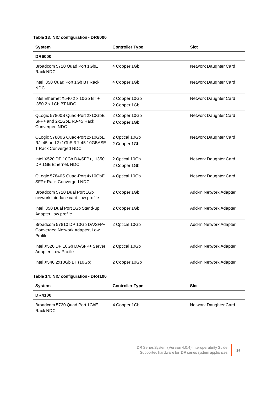#### **Table 13: NIC configuration - DR6000**

| System                                                                                     | <b>Controller Type</b>         | Slot                   |
|--------------------------------------------------------------------------------------------|--------------------------------|------------------------|
| <b>DR6000</b>                                                                              |                                |                        |
| Broadcom 5720 Quad Port 1GbE<br>Rack NDC                                                   | 4 Copper 1Gb                   | Network Daughter Card  |
| Intel I350 Quad Port 1Gb BT Rack<br><b>NDC</b>                                             | 4 Copper 1Gb                   | Network Daughter Card  |
| Intel Ethernet X540 2 x 10Gb BT +<br>1350 2 x 1 Gb BT NDC                                  | 2 Copper 10Gb<br>2 Copper 1Gb  | Network Daughter Card  |
| QLogic 57800S Quad-Port 2x10GbE<br>SFP+ and 2x1GbE RJ-45 Rack<br>Converged NDC             | 2 Copper 10Gb<br>2 Copper 1Gb  | Network Daughter Card  |
| QLogic 57800S Quad-Port 2x10GbE<br>RJ-45 and 2x1GbE RJ-45 10GBASE-<br>T Rack Converged NDC | 2 Optical 10Gb<br>2 Copper 1Gb | Network Daughter Card  |
| Intel X520 DP 10Gb DA/SFP+, +I350<br>DP 1GB Ethernet, NDC                                  | 2 Optical 10Gb<br>2 Copper 1Gb | Network Daughter Card  |
| QLogic 57840S Quad-Port 4x10GbE<br>SFP+ Rack Converged NDC                                 | 4 Optical 10Gb                 | Network Daughter Card  |
| Broadcom 5720 Dual Port 1Gb<br>network interface card, low profile                         | 2 Copper 1Gb                   | Add-In Network Adapter |
| Intel I350 Dual Port 1Gb Stand-up<br>Adapter, low profile                                  | 2 Copper 1Gb                   | Add-In Network Adapter |
| Broadcom 57810 DP 10Gb DA/SFP+<br>Converged Network Adapter, Low<br>Profile                | 2 Optical 10Gb                 | Add-In Network Adapter |
| Intel X520 DP 10Gb DA/SFP+ Server<br>Adapter, Low Profile                                  | 2 Optical 10Gb                 | Add-In Network Adapter |
| Intel X540 2x10Gb BT (10Gb)                                                                | 2 Copper 10Gb                  | Add-In Network Adapter |
| Table 14: NIC configuration - DR4100                                                       |                                |                        |
| <b>System</b>                                                                              | <b>Controller Type</b>         | <b>Slot</b>            |
| <b>DR4100</b>                                                                              |                                |                        |
|                                                                                            |                                |                        |

Broadcom 5720 Quad Port 1GbE Rack NDC

4 Copper 1Gb Network Daughter Card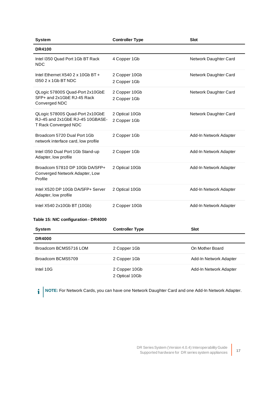| <b>System</b>                                                                              | <b>Controller Type</b>         | <b>Slot</b>            |
|--------------------------------------------------------------------------------------------|--------------------------------|------------------------|
| <b>DR4100</b>                                                                              |                                |                        |
| Intel I350 Quad Port 1Gb BT Rack<br><b>NDC</b>                                             | 4 Copper 1Gb                   | Network Daughter Card  |
| Intel Ethernet $X5402 \times 10$ Gb BT +<br>1350 2 x 1 Gb BT NDC                           | 2 Copper 10Gb<br>2 Copper 1Gb  | Network Daughter Card  |
| QLogic 57800S Quad-Port 2x10GbE<br>SFP+ and 2x1GbE RJ-45 Rack<br>Converged NDC             | 2 Copper 10Gb<br>2 Copper 1Gb  | Network Daughter Card  |
| QLogic 57800S Quad-Port 2x10GbE<br>RJ-45 and 2x1GbE RJ-45 10GBASE-<br>T Rack Converged NDC | 2 Optical 10Gb<br>2 Copper 1Gb | Network Daughter Card  |
| Broadcom 5720 Dual Port 1Gb<br>network interface card, low profile                         | 2 Copper 1Gb                   | Add-In Network Adapter |
| Intel I350 Dual Port 1Gb Stand-up<br>Adapter, low profile                                  | 2 Copper 1Gb                   | Add-In Network Adapter |
| Broadcom 57810 DP 10Gb DA/SFP+<br>Converged Network Adapter, Low<br>Profile                | 2 Optical 10Gb                 | Add-In Network Adapter |
| Intel X520 DP 10Gb DA/SFP+ Server<br>Adapter, low profile                                  | 2 Optical 10Gb                 | Add-In Network Adapter |
| Intel X540 2x10Gb BT (10Gb)                                                                | 2 Copper 10Gb                  | Add-In Network Adapter |
| Table 15: NIC configuration - DR4000                                                       |                                |                        |
| <b>System</b>                                                                              | <b>Controller Type</b>         | <b>Slot</b>            |

| $\sim$ ,              | <b>VVIIII VIIVI I THU</b>       | ---                    |
|-----------------------|---------------------------------|------------------------|
| <b>DR4000</b>         |                                 |                        |
| Broadcom BCMS5716 LOM | 2 Copper 1Gb                    | On Mother Board        |
| Broadcom BCMS5709     | 2 Copper 1Gb                    | Add-In Network Adapter |
| Intel 10G             | 2 Copper 10Gb<br>2 Optical 10Gb | Add-In Network Adapter |

**i** NOTE: For Network Cards, you can have one Network Daughter Card and one Add-In Network Adapter.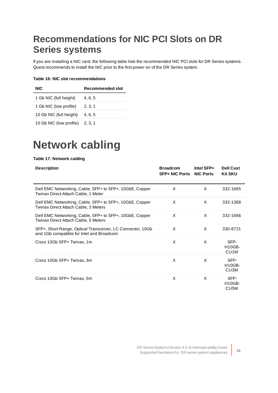### <span id="page-17-0"></span>**Recommendations for NIC PCI Slots on DR Series systems**

If you are installing a NIC card, the following table lists the recommended NIC PCI slots for DR Series systems. Quest recommends to install the NIC prior to the first power on of the DR Series system.

#### **Table 16: NIC slot recommendations**

| <b>NIC</b>              | Recommended slot |
|-------------------------|------------------|
| 1 Gb NIC (full height)  | 4, 6, 5          |
| 1 Gb NIC (low profile)  | 2, 3, 1          |
| 10 Gb NIC (full height) | 4.6.5            |
| 10 Gb NIC (low profile) | 2, 3, 1          |

### <span id="page-17-1"></span>**Network cabling**

#### **Table 17: Network cabling**

| <b>Description</b>                                                                                      | <b>Broadcom</b><br><b>SFP+ NIC Ports</b> | Intel SFP+<br><b>NIC Ports</b> | <b>Dell Cust</b><br><b>Kit SKU</b>         |
|---------------------------------------------------------------------------------------------------------|------------------------------------------|--------------------------------|--------------------------------------------|
| Dell EMC Networking, Cable, SFP+ to SFP+, 10GbE, Copper<br>Twinax Direct Attach Cable, 1 Meter          | X                                        | X                              | 332-1665                                   |
| Dell EMC Networking, Cable, SFP+ to SFP+, 10GbE, Copper<br>Twinax Direct Attach Cable, 3 Meters         | X                                        | X                              | 332-1368                                   |
| Dell EMC Networking, Cable, SFP+ to SFP+, 10GbE, Copper<br>Twinax Direct Attach Cable, 5 Meters         | X                                        | X                              | 332-1666                                   |
| SFP+, Short Range, Optical Transceiver, LC Connector, 10Gb<br>and 1Gb compatible for Intel and Broadcom | X                                        | X                              | 330-8721                                   |
| Cisco 10Gb SFP+ Twinax, 1m                                                                              | X                                        | X                              | SFP-<br><b>H10GB-</b><br>CU <sub>1</sub> M |
| Cisco 10Gb SFP+ Twinax, 3m                                                                              | X                                        | X                              | SFP-<br><b>H10GB-</b><br>CU3M              |
| Cisco 10Gb SFP+ Twinax, 5m                                                                              | X                                        | X                              | SFP-<br><b>H10GB-</b><br>CU <sub>5</sub> M |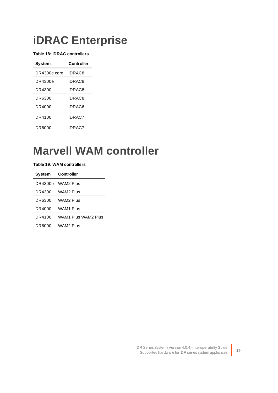### <span id="page-18-0"></span>**iDRAC Enterprise**

**Table 18: iDRAC controllers**

| Svstem       | Controller |
|--------------|------------|
| DR4300e core | iDRAC8     |
| DR4300e      | iDRAC8     |
| DR4300       | iDR AC8    |
| DR6300       | iDR AC8    |
| DR4000       | iDR AC6    |
| DR4100       | iDRAC7     |
| DR6000       | iDRAC7     |

### <span id="page-18-1"></span>**Marvell WAM controller**

**Table 19: WAM controllers**

| System  | <b>Controller</b>   |
|---------|---------------------|
| DR4300e | WAM2 Plus           |
| DR4300  | WAM2 Plus           |
| DR6300  | WAM2 Plus           |
| DR4000  | WAM1 Plus           |
| DR4100  | WAM1 Plus WAM2 Plus |
| DR6000  | WAM2 Plus           |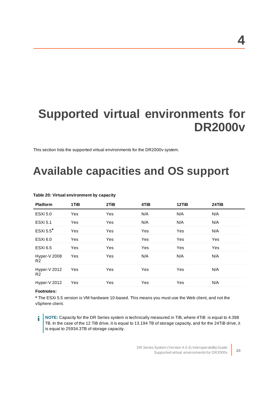# <span id="page-19-0"></span>**Supported virtual environments for DR2000v**

<span id="page-19-1"></span>This section lists the supported virtual environments for the DR2000v system.

# **Available capacities and OS support**

| <b>Platform</b>                | 1TiB       | 2TiB | 4TiB | 12TiB      | 24TiB |
|--------------------------------|------------|------|------|------------|-------|
| <b>ESXi 5.0</b>                | Yes        | Yes  | N/A  | N/A        | N/A   |
| <b>ESXi 5.1</b>                | Yes        | Yes  | N/A  | N/A        | N/A   |
| ESXi 5.5*                      | <b>Yes</b> | Yes  | Yes  | <b>Yes</b> | N/A   |
| ESXi <sub>6.0</sub>            | Yes        | Yes  | Yes  | <b>Yes</b> | Yes   |
| <b>ESXi 6.5</b>                | Yes        | Yes  | Yes  | Yes        | Yes   |
| Hyper-V 2008<br>R2             | Yes        | Yes  | N/A  | N/A        | N/A   |
| Hyper-V 2012<br>R <sub>2</sub> | Yes        | Yes  | Yes  | Yes        | N/A   |
| Hyper-V 2012                   | Yes        | Yes  | Yes  | Yes        | N/A   |
|                                |            |      |      |            |       |

#### **Table 20: Virtual environment by capacity**

#### **Footnotes:**

**\*** The ESXi 5.5 version is VM hardware 10-based. This means you must use the Web client, and not the vSphere client.

**NOTE:** Capacity for the DR Series system is technically measured in TiB, where 4TiB is equal to 4.398 i TB. In the case of the 12 TiB drive, it is equal to 13.194 TB of storage capacity, and for the 24TiB drive, it is equal to 25934.3TB of storage capacity.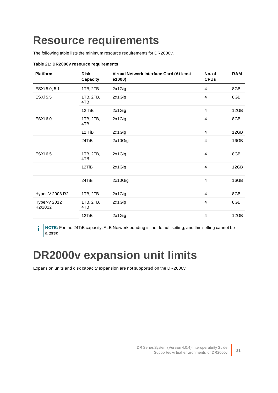### <span id="page-20-0"></span>**Resource requirements**

The following table lists the minimum resource requirements for DR2000v.

| <b>Platform</b>         | <b>Disk</b><br>Capacity | Virtual Network Interface Card (At least<br>e1000) | No. of<br><b>CPUs</b>   | <b>RAM</b> |
|-------------------------|-------------------------|----------------------------------------------------|-------------------------|------------|
| ESXi 5.0, 5.1           | 1TB, 2TB                | 2x1Gig                                             | $\overline{4}$          | 8GB        |
| <b>ESXi 5.5</b>         | 1TB, 2TB,<br>4TB        | 2x1Gig                                             | $\overline{4}$          | 8GB        |
|                         | 12 TiB                  | 2x1Gig                                             | $\overline{4}$          | 12GB       |
| <b>ESXi 6.0</b>         | 1TB, 2TB,<br>4TB        | 2x1Gig                                             | $\overline{4}$          | 8GB        |
|                         | 12 TiB                  | 2x1Gig                                             | $\overline{4}$          | 12GB       |
|                         | 24TiB                   | 2x10Gig                                            | $\overline{4}$          | 16GB       |
| <b>ESXi 6.5</b>         | 1TB, 2TB,<br>4TB        | 2x1Gig                                             | $\overline{4}$          | 8GB        |
|                         | 12TiB                   | 2x1Gig                                             | $\overline{4}$          | 12GB       |
|                         | 24TiB                   | 2x10Gig                                            | $\overline{4}$          | 16GB       |
| Hyper-V 2008 R2         | 1TB, 2TB                | 2x1Gig                                             | $\overline{4}$          | 8GB        |
| Hyper-V 2012<br>R2/2012 | 1TB, 2TB,<br>4TB        | 2x1Gig                                             | $\overline{4}$          | 8GB        |
|                         | 12TiB                   | 2x1Gig                                             | $\overline{\mathbf{4}}$ | 12GB       |

#### **Table 21: DR2000v resource requirements**

**NOTE:** For the 24TiB capacity, ALB Network bonding is the default setting, and this setting cannot be i altered.

# <span id="page-20-1"></span>**DR2000v expansion unit limits**

Expansion units and disk capacity expansion are not supported on the DR2000v.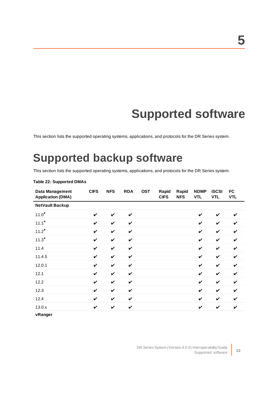# **Supported software**

<span id="page-21-1"></span><span id="page-21-0"></span>This section lists the supported operating systems, applications, and protocols for the DR Series system.

### **Supported backup software**

This section lists the supported operating systems, applications, and protocols for the DR Series system.

| Data Management<br><b>Application (DMA)</b> | <b>CIFS</b> | <b>NFS</b>   | <b>RDA</b>   | <b>OST</b> | Rapid<br><b>CIFS</b> | Rapid<br><b>NFS</b> | <b>NDMP</b><br><b>VTL</b> | <b>iSCSI</b><br><b>VTL</b> | <b>FC</b><br><b>VTL</b> |
|---------------------------------------------|-------------|--------------|--------------|------------|----------------------|---------------------|---------------------------|----------------------------|-------------------------|
| <b>NetVault Backup</b>                      |             |              |              |            |                      |                     |                           |                            |                         |
| $11.0*$                                     | V           | V            | V            |            |                      |                     | $\boldsymbol{\nu}$        | V                          | V                       |
| $11.1*$                                     | V           | V            | $\checkmark$ |            |                      |                     | $\boldsymbol{\nu}$        | $\boldsymbol{\nu}$         | V                       |
| $11.2*$                                     | V           | $\checkmark$ | $\checkmark$ |            |                      |                     | $\boldsymbol{\nu}$        | V                          | ✓                       |
| $11.3*$                                     | V           | $\checkmark$ | $\checkmark$ |            |                      |                     | $\boldsymbol{\nu}$        | $\checkmark$               | V                       |
| 11.4                                        | V           | $\checkmark$ | $\checkmark$ |            |                      |                     | $\boldsymbol{\nu}$        | $\boldsymbol{\nu}$         | ✓                       |
| 11.4.5                                      | V           | $\checkmark$ | $\checkmark$ |            |                      |                     | $\boldsymbol{\nu}$        | $\boldsymbol{\nu}$         | V                       |
| 12.0.1                                      | ✓           | $\checkmark$ | $\checkmark$ |            |                      |                     | V                         | $\boldsymbol{\nu}$         | ✓                       |
| 12.1                                        | V           | $\checkmark$ | V            |            |                      |                     | V                         | V                          | V                       |
| 12.2                                        | ✓           | $\checkmark$ | $\checkmark$ |            |                      |                     | $\boldsymbol{\nu}$        | $\boldsymbol{\nu}$         | ✓                       |
| 12.3                                        | V           | $\checkmark$ | $\checkmark$ |            |                      |                     | V                         | V                          | V                       |
| 12.4                                        | ✓           | V            | $\checkmark$ |            |                      |                     | $\boldsymbol{\nu}$        | V                          | V                       |
| 13.0.x                                      | ✓           | V            | V            |            |                      |                     | $\boldsymbol{\nu}$        | V                          | V                       |
| vRanger                                     |             |              |              |            |                      |                     |                           |                            |                         |

#### **Table 22: Supported DMAs**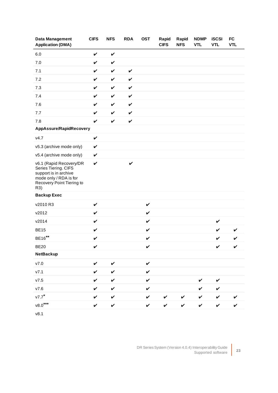| <b>Data Management</b><br><b>Application (DMA)</b>                                                                                     | <b>CIFS</b>  | <b>NFS</b>   | <b>RDA</b>   | <b>OST</b>   | Rapid<br><b>CIFS</b> | Rapid<br><b>NFS</b> | <b>NDMP</b><br><b>VTL</b> | <b>iSCSI</b><br><b>VTL</b> | <b>FC</b><br><b>VTL</b> |
|----------------------------------------------------------------------------------------------------------------------------------------|--------------|--------------|--------------|--------------|----------------------|---------------------|---------------------------|----------------------------|-------------------------|
| $6.0\,$                                                                                                                                | $\checkmark$ | $\checkmark$ |              |              |                      |                     |                           |                            |                         |
| 7.0                                                                                                                                    | V            | $\checkmark$ |              |              |                      |                     |                           |                            |                         |
| 7.1                                                                                                                                    | V            | $\checkmark$ | $\checkmark$ |              |                      |                     |                           |                            |                         |
| 7.2                                                                                                                                    | V            | $\checkmark$ | $\checkmark$ |              |                      |                     |                           |                            |                         |
| 7.3                                                                                                                                    | V            | $\checkmark$ | $\checkmark$ |              |                      |                     |                           |                            |                         |
| 7.4                                                                                                                                    | V            | $\checkmark$ | $\checkmark$ |              |                      |                     |                           |                            |                         |
| 7.6                                                                                                                                    | V            | $\checkmark$ | $\checkmark$ |              |                      |                     |                           |                            |                         |
| 7.7                                                                                                                                    | V            | $\checkmark$ | $\checkmark$ |              |                      |                     |                           |                            |                         |
| 7.8                                                                                                                                    | V            | $\checkmark$ | $\checkmark$ |              |                      |                     |                           |                            |                         |
| AppAssure/RapidRecovery                                                                                                                |              |              |              |              |                      |                     |                           |                            |                         |
| v4.7                                                                                                                                   | $\checkmark$ |              |              |              |                      |                     |                           |                            |                         |
| v5.3 (archive mode only)                                                                                                               | $\checkmark$ |              |              |              |                      |                     |                           |                            |                         |
| v5.4 (archive mode only)                                                                                                               | $\checkmark$ |              |              |              |                      |                     |                           |                            |                         |
| v6.1 (Rapid Recovery/DR<br>Series Tiering. CIFS<br>support is in archive<br>mode only / RDA is for<br>Recovery Point Tiering to<br>R3) | $\checkmark$ |              | $\checkmark$ |              |                      |                     |                           |                            |                         |
| <b>Backup Exec</b>                                                                                                                     |              |              |              |              |                      |                     |                           |                            |                         |
| v2010 R3                                                                                                                               | $\checkmark$ |              |              | $\checkmark$ |                      |                     |                           |                            |                         |
| v2012                                                                                                                                  | $\checkmark$ |              |              | $\checkmark$ |                      |                     |                           |                            |                         |
| v2014                                                                                                                                  | $\checkmark$ |              |              | $\checkmark$ |                      |                     |                           | $\checkmark$               |                         |
| <b>BE15</b>                                                                                                                            | V            |              |              | $\checkmark$ |                      |                     |                           | V                          | ✓                       |
| BE16**                                                                                                                                 | V            |              |              | $\checkmark$ |                      |                     |                           | V                          | V                       |
| <b>BE20</b>                                                                                                                            | V            |              |              | $\checkmark$ |                      |                     |                           | $\checkmark$               | $\checkmark$            |
| <b>NetBackup</b>                                                                                                                       |              |              |              |              |                      |                     |                           |                            |                         |
| $v7.0$                                                                                                                                 | $\checkmark$ | $\checkmark$ |              | $\checkmark$ |                      |                     |                           |                            |                         |
| V7.1                                                                                                                                   | V            | $\checkmark$ |              | $\checkmark$ |                      |                     |                           |                            |                         |
| V7.5                                                                                                                                   | ✓            | $\checkmark$ |              | $\checkmark$ |                      |                     | V                         | $\checkmark$               |                         |
| V7.6                                                                                                                                   | V            | $\checkmark$ |              | $\checkmark$ |                      |                     | V                         | $\checkmark$               |                         |
| v7.7                                                                                                                                   | ✓            | $\checkmark$ |              | $\checkmark$ | V                    | V                   | V                         | $\checkmark$               | V                       |
| $v8.0***$                                                                                                                              | V            | $\checkmark$ |              | $\checkmark$ | $\checkmark$         | $\checkmark$        | $\checkmark$              | $\checkmark$               | $\checkmark$            |

v8.1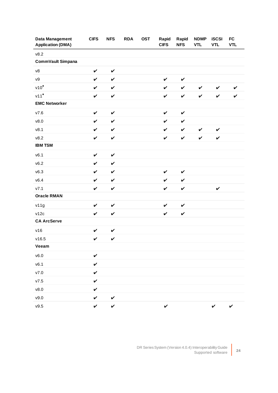| Data Management<br><b>Application (DMA)</b> | <b>CIFS</b>  | <b>NFS</b>   | <b>RDA</b> | <b>OST</b> | Rapid<br><b>CIFS</b> | Rapid<br><b>NFS</b> | <b>NDMP</b><br><b>VTL</b> | <b>iSCSI</b><br><b>VTL</b> | FC<br><b>VTL</b> |
|---------------------------------------------|--------------|--------------|------------|------------|----------------------|---------------------|---------------------------|----------------------------|------------------|
| v8.2                                        |              |              |            |            |                      |                     |                           |                            |                  |
| CommVault Simpana                           |              |              |            |            |                      |                     |                           |                            |                  |
| ${\tt v8}$                                  | $\checkmark$ | $\checkmark$ |            |            |                      |                     |                           |                            |                  |
| V <sup>9</sup>                              | $\checkmark$ | $\checkmark$ |            |            | $\checkmark$         | $\checkmark$        |                           |                            |                  |
| $v10^*$                                     | $\checkmark$ | $\checkmark$ |            |            | $\checkmark$         | $\checkmark$        | $\checkmark$              | $\checkmark$               | $\checkmark$     |
| $v11*$                                      | $\checkmark$ | $\checkmark$ |            |            | $\checkmark$         | $\checkmark$        | $\checkmark$              | $\checkmark$               | $\checkmark$     |
| <b>EMC Networker</b>                        |              |              |            |            |                      |                     |                           |                            |                  |
| V7.6                                        | $\checkmark$ | $\checkmark$ |            |            | $\checkmark$         | $\checkmark$        |                           |                            |                  |
| v8.0                                        | $\checkmark$ | $\checkmark$ |            |            | $\checkmark$         | $\checkmark$        |                           |                            |                  |
| v8.1                                        | $\checkmark$ | $\checkmark$ |            |            | $\checkmark$         | $\checkmark$        | $\checkmark$              | $\checkmark$               |                  |
| v8.2                                        | $\checkmark$ | $\checkmark$ |            |            | $\checkmark$         | $\checkmark$        | $\checkmark$              | $\checkmark$               |                  |
| <b>IBM TSM</b>                              |              |              |            |            |                      |                     |                           |                            |                  |
| v6.1                                        | $\checkmark$ | $\checkmark$ |            |            |                      |                     |                           |                            |                  |
| v6.2                                        | $\checkmark$ | $\checkmark$ |            |            |                      |                     |                           |                            |                  |
| v6.3                                        | $\checkmark$ | $\checkmark$ |            |            | $\checkmark$         | $\checkmark$        |                           |                            |                  |
| v6.4                                        | $\checkmark$ | $\checkmark$ |            |            | $\checkmark$         | $\checkmark$        |                           |                            |                  |
| V7.1                                        | $\checkmark$ | $\checkmark$ |            |            | $\checkmark$         | $\checkmark$        |                           | $\checkmark$               |                  |
| <b>Oracle RMAN</b>                          |              |              |            |            |                      |                     |                           |                            |                  |
| v11g                                        | $\checkmark$ | $\checkmark$ |            |            | $\checkmark$         | $\checkmark$        |                           |                            |                  |
| v12c                                        | $\checkmark$ | $\checkmark$ |            |            | $\checkmark$         | $\checkmark$        |                           |                            |                  |
| <b>CA ArcServe</b>                          |              |              |            |            |                      |                     |                           |                            |                  |
| v16                                         | $\checkmark$ | $\checkmark$ |            |            |                      |                     |                           |                            |                  |
| v16.5                                       | $\checkmark$ | $\checkmark$ |            |            |                      |                     |                           |                            |                  |
| Veeam                                       |              |              |            |            |                      |                     |                           |                            |                  |
| v6.0                                        | $\checkmark$ |              |            |            |                      |                     |                           |                            |                  |
| v6.1                                        | $\checkmark$ |              |            |            |                      |                     |                           |                            |                  |
| ${\tt v7.0}$                                | $\checkmark$ |              |            |            |                      |                     |                           |                            |                  |
| ${\tt v7.5}$                                | $\checkmark$ |              |            |            |                      |                     |                           |                            |                  |
| v8.0                                        | $\checkmark$ |              |            |            |                      |                     |                           |                            |                  |
| v9.0                                        | $\checkmark$ | $\checkmark$ |            |            |                      |                     |                           |                            |                  |
| v9.5                                        | $\checkmark$ | $\checkmark$ |            |            | $\checkmark$         |                     |                           | $\checkmark$               | $\checkmark$     |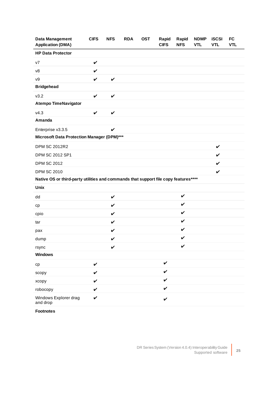| <b>Data Management</b><br><b>Application (DMA)</b>                                  | <b>CIFS</b>  | <b>NFS</b>   | <b>RDA</b> | <b>OST</b> | Rapid<br><b>CIFS</b> | Rapid<br><b>NFS</b> | <b>NDMP</b><br><b>VTL</b> | <b>iSCSI</b><br><b>VTL</b> | <b>FC</b><br><b>VTL</b> |
|-------------------------------------------------------------------------------------|--------------|--------------|------------|------------|----------------------|---------------------|---------------------------|----------------------------|-------------------------|
| <b>HP Data Protector</b>                                                            |              |              |            |            |                      |                     |                           |                            |                         |
| V <sub>7</sub>                                                                      | $\checkmark$ |              |            |            |                      |                     |                           |                            |                         |
| v8                                                                                  | $\checkmark$ |              |            |            |                      |                     |                           |                            |                         |
| V <sup>9</sup>                                                                      | $\checkmark$ | $\checkmark$ |            |            |                      |                     |                           |                            |                         |
| <b>Bridgehead</b>                                                                   |              |              |            |            |                      |                     |                           |                            |                         |
| v3.2                                                                                | $\checkmark$ | $\checkmark$ |            |            |                      |                     |                           |                            |                         |
| <b>Atempo TimeNavigator</b>                                                         |              |              |            |            |                      |                     |                           |                            |                         |
| V4.3                                                                                | $\checkmark$ | $\checkmark$ |            |            |                      |                     |                           |                            |                         |
| Amanda                                                                              |              |              |            |            |                      |                     |                           |                            |                         |
| Enterprise v3.3.5                                                                   |              | V            |            |            |                      |                     |                           |                            |                         |
| Microsoft Data Protection Manager (DPM)***                                          |              |              |            |            |                      |                     |                           |                            |                         |
| <b>DPM SC 2012R2</b>                                                                |              |              |            |            |                      |                     |                           | $\checkmark$               |                         |
| DPM SC 2012 SP1                                                                     |              |              |            |            |                      |                     |                           | $\checkmark$               |                         |
| <b>DPM SC 2012</b>                                                                  |              |              |            |            |                      |                     |                           | $\boldsymbol{\nu}$         |                         |
| <b>DPM SC 2010</b>                                                                  |              |              |            |            |                      |                     |                           | $\checkmark$               |                         |
| Native OS or third-party utilities and commands that support file copy features**** |              |              |            |            |                      |                     |                           |                            |                         |
| <b>Unix</b>                                                                         |              |              |            |            |                      |                     |                           |                            |                         |
| dd                                                                                  |              | $\checkmark$ |            |            |                      | $\checkmark$        |                           |                            |                         |
| cp                                                                                  |              | V            |            |            |                      | $\checkmark$        |                           |                            |                         |
| cpio                                                                                |              | V            |            |            |                      | $\checkmark$        |                           |                            |                         |
| tar                                                                                 |              | V            |            |            |                      | $\checkmark$        |                           |                            |                         |
| pax                                                                                 |              | V            |            |            |                      | $\checkmark$        |                           |                            |                         |
| dump                                                                                |              | V            |            |            |                      | V                   |                           |                            |                         |
| rsync                                                                               |              | $\checkmark$ |            |            |                      | V                   |                           |                            |                         |
| <b>Windows</b>                                                                      |              |              |            |            |                      |                     |                           |                            |                         |
| cp                                                                                  | $\checkmark$ |              |            |            | $\checkmark$         |                     |                           |                            |                         |
| scopy                                                                               | $\checkmark$ |              |            |            | V                    |                     |                           |                            |                         |
| хсору                                                                               | $\checkmark$ |              |            |            | $\checkmark$         |                     |                           |                            |                         |
| robocopy                                                                            | $\checkmark$ |              |            |            | V                    |                     |                           |                            |                         |
| Windows Explorer drag<br>and drop                                                   | $\checkmark$ |              |            |            | $\checkmark$         |                     |                           |                            |                         |

**Footnotes**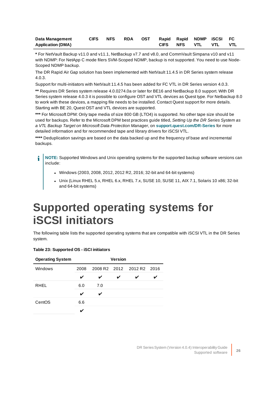| Data Management          |  |  |  |                  | CIFS NFS RDA OST Rapid Rapid NDMP ISCSI FC |            |
|--------------------------|--|--|--|------------------|--------------------------------------------|------------|
| <b>Application (DMA)</b> |  |  |  | CIFS NFS VTL VTL |                                            | <b>VTL</b> |

**\*** For NetVault Backup v11.0 and v11.1, NetBackup v7.7 and v8.0, and CommVault Simpana v10 and v11 with NDMP: For NetApp C mode filers SVM-Scoped NDMP, backup is not supported. You need to use Node-Scoped NDMP backup.

The DR Rapid Air Gap solution has been implemented with NetVault 11.4.5 in DR Series system release 4.0.3.

Support for multi-initiators with NetVault 11.4.5 has been added for FC VTL in DR Series version 4.0.3.

**\*\*** Requires DR Series system release 4.0.0274.0a or later for BE16 and NetBackup 8.0 support. With DR Series system release 4.0.3 it is possible to configure OST and VTL devices as Quest type. For Netbackup 8.0 to work with these devices, a mapping file needs to be installed. Contact Quest support for more details. Starting with BE 20, Quest OST and VTL devices are supported.

**\*\*\*** For Microsoft DPM: Only tape media of size 800 GB (LTO4) is supported. No other tape size should be used for backups. Refer to the Microsoft DPM best practices guide titled, Setting Up the DR Series System as a VTL Backup Target on Microsoft Data Protection Manager, on **[support.quest.com/DR-Series](http://support.quest.com/DR-Series)** for more detailed information and for recommended tape and library drivers for iSCSI VTL.

**\*\*\*\*** Deduplication savings are based on the data backed up and the frequency of base and incremental backups.

**NOTE:** Supported Windows and Unix operating systems for the supported backup software versions can i include:

- Windows (2003, 2008, 2012, 2012 R2, 2016; 32-bit and 64-bit systems)
- Unix (Linux RHEL 5.x, RHEL 6.x, RHEL 7.x, SUSE 10, SUSE 11, AIX 7.1, Solaris 10 x86; 32-bit and 64-bit systems)

### <span id="page-25-0"></span>**Supported operating systems for iSCSI initiators**

The following table lists the supported operating systems that are compatible with iSCSI VTL in the DR Series system.

#### **Table 23: Supported OS - iSCI initiators**

| <b>Operating System</b> | <b>Version</b> |     |   |                           |  |  |  |
|-------------------------|----------------|-----|---|---------------------------|--|--|--|
| Windows                 | 2008           |     |   | 2008 R2 2012 2012 R2 2016 |  |  |  |
|                         | V              | V   | ✓ | ✔                         |  |  |  |
| <b>RHEL</b>             | 6.0            | 7.0 |   |                           |  |  |  |
|                         | V              | ✓   |   |                           |  |  |  |
| CentOS                  | 6.6            |     |   |                           |  |  |  |
|                         |                |     |   |                           |  |  |  |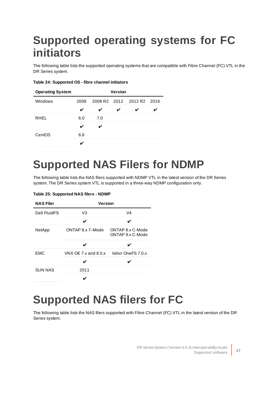## <span id="page-26-0"></span>**Supported operating systems for FC initiators**

The following table lists the supported operating systems that are compatible with Fibre Channel (FC) VTL in the DR Series system.

#### **Table 24: Supported OS - fibre channel initiators**

| <b>Operating System</b> | <b>Version</b> |     |   |                           |  |  |  |  |
|-------------------------|----------------|-----|---|---------------------------|--|--|--|--|
| Windows                 | 2008           |     |   | 2008 R2 2012 2012 R2 2016 |  |  |  |  |
|                         | ✓              | V   | ✔ | ✔                         |  |  |  |  |
| <b>RHEL</b>             | 6.0            | 7.0 |   |                           |  |  |  |  |
|                         | V              |     |   |                           |  |  |  |  |
| CentOS                  | 6.6            |     |   |                           |  |  |  |  |
|                         |                |     |   |                           |  |  |  |  |

### <span id="page-26-1"></span>**Supported NAS Filers for NDMP**

The following table lists the NAS filers supported with NDMP VTL in the latest version of the DR Series system. The DR Series system VTL is supported in a three-way NDMP configuration only.

| <b>NAS Filer</b> | <b>Version</b>             |                                      |  |  |  |  |  |
|------------------|----------------------------|--------------------------------------|--|--|--|--|--|
| Dell FluidFS     | V3                         | V4                                   |  |  |  |  |  |
|                  | ✓                          | ✔                                    |  |  |  |  |  |
| NetApp           | ONTAP 8.x 7-Mode           | ONTAP 8.x C-Mode<br>ONTAP 9.x C-Mode |  |  |  |  |  |
|                  |                            |                                      |  |  |  |  |  |
| <b>EMC</b>       | VNX OE 7. $x$ and 8.0. $x$ | Isilon OneFS 7.0 x                   |  |  |  |  |  |
|                  |                            |                                      |  |  |  |  |  |
| <b>SUN NAS</b>   | 2011                       |                                      |  |  |  |  |  |
|                  |                            |                                      |  |  |  |  |  |

#### **Table 25: Supported NAS filers - NDMP**

### <span id="page-26-2"></span>**Supported NAS filers for FC**

The following table lists the NAS filers supported with Fibre Channel (FC) VTL in the latest version of the DR Series system.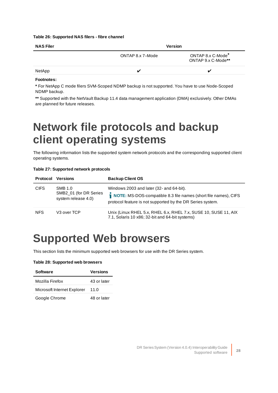#### **Table 26: Supported NAS filers - fibre channel**

| <b>NAS Filer</b> |                  | <b>Version</b>                          |  |
|------------------|------------------|-----------------------------------------|--|
|                  | ONTAP 8.x 7-Mode | ONTAP 8.x C-Mode*<br>ONTAP 9.x C-Mode** |  |
| NetApp           |                  | "                                       |  |
|                  |                  |                                         |  |

#### **Footnotes:**

**\*** For NetApp C mode filers SVM-Scoped NDMP backup is not supported. You have to use Node-Scoped NDMP backup.

<span id="page-27-0"></span>**\*\*** Supported with the NetVault Backup 11.4 data management application (DMA) exclusively. Other DMAs are planned for future releases.

### **Network file protocols and backup client operating systems**

The following information lists the supported system network protocols and the corresponding supported client operating systems.

|  |  | Table 27: Supported network protocols |  |  |
|--|--|---------------------------------------|--|--|
|--|--|---------------------------------------|--|--|

| <b>Protocol</b> | <b>Versions</b>                                          | <b>Backup Client OS</b>                                                                                                                                                   |
|-----------------|----------------------------------------------------------|---------------------------------------------------------------------------------------------------------------------------------------------------------------------------|
| <b>CIFS</b>     | SMB 1.0<br>SMB2_01 (for DR Series<br>system release 4.0) | Windows 2003 and later (32- and 64-bit).<br>NOTE: MS-DOS-compatible 8.3 file names (short file names), CIFS<br>protocol feature is not supported by the DR Series system. |
| <b>NFS</b>      | V <sub>3</sub> over TCP                                  | Unix (Linux RHEL 5.x, RHEL 6.x, RHEL 7.x, SUSE 10, SUSE 11, AIX<br>7.1, Solaris 10 x86; 32-bit and 64-bit systems)                                                        |

### <span id="page-27-1"></span>**Supported Web browsers**

This section lists the minimum supported web browsers for use with the DR Series system.

#### **Table 28: Supported web browsers**

| <b>Software</b>             | <b>Versions</b> |
|-----------------------------|-----------------|
| Mozilla Firefox             | 43 or later     |
| Microsoft Internet Explorer | 11.0            |
| Google Chrome               | 48 or later     |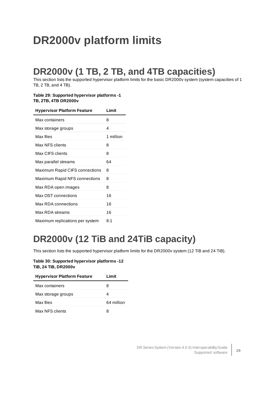## <span id="page-28-0"></span>**DR2000v platform limits**

### <span id="page-28-1"></span>**DR2000v (1 TB, 2 TB, and 4TB capacities)**

This section lists the supported hypervisor platform limits for the basic DR2000v system (system capacities of 1 TB, 2 TB, and 4 TB).

#### **Table 29: Supported hypervisor platforms -1 TB, 2TB, 4TB DR2000v**

| <b>Hypervisor Platform Feature</b> | Limit     |
|------------------------------------|-----------|
| Max containers                     | 8         |
| Max storage groups                 | 4         |
| Max files                          | 1 million |
| Max NFS clients                    | 8         |
| Max CIFS clients                   | 8         |
| Max parallel streams               | 64        |
| Maximum Rapid CIFS connections     | 8         |
| Maximum Rapid NFS connections      | 8         |
| Max RDA open images                | 8         |
| Max OST connections                | 16        |
| Max RDA connections                | 16        |
| Max RDA streams                    | 16        |
| Maximum replications per system    | 8:1       |

### <span id="page-28-2"></span>**DR2000v (12 TiB and 24TiB capacity)**

This section lists the supported hypervisor platform limits for the DR2000v system (12 TiB and 24 TiB).

#### **Table 30: Supported hypervisor platforms -12 TiB, 24 TiB, DR2000v**

| <b>Hypervisor Platform Feature</b> | l imit     |
|------------------------------------|------------|
| Max containers                     | 8          |
| Max storage groups                 | Δ          |
| Max files                          | 64 million |
| Max NFS clients                    | 8          |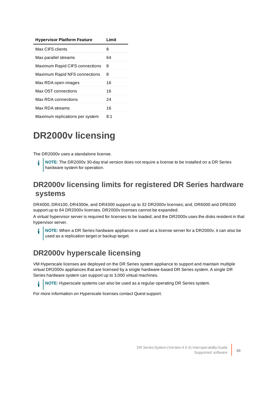| <b>Hypervisor Platform Feature</b> | Limit |
|------------------------------------|-------|
| Max CIFS clients                   | 8     |
| Max parallel streams               | 64    |
| Maximum Rapid CIFS connections     | 8     |
| Maximum Rapid NFS connections      | 8     |
| Max RDA open images                | 16    |
| Max OST connections                | 16    |
| Max RDA connections                | 24    |
| Max RDA streams                    | 16    |
| Maximum replications per system    | 8:1   |

### <span id="page-29-0"></span>**DR2000v licensing**

The DR2000v uses a standalone license.

**NOTE:** The DR2000v 30-day trial version does not require a license to be installed on a DR Series hardware system for operation.

### <span id="page-29-1"></span>**DR2000v licensing limits for registered DR Series hardware systems**

DR4000, DR4100, DR4300e, and DR4300 support up to 32 DR2000v licenses; and, DR6000 and DR6300 support up to 64 DR2000v licenses. DR2000v licenses cannot be expanded.

A virtual hypervisor server is required for licenses to be loaded, and the DR2000v uses the disks resident in that hypervisor server.

**NOTE:** When a DR Series hardware appliance is used as a license server for a DR2000v, it can also be i used as a replication target or backup target.

### <span id="page-29-2"></span>**DR2000v hyperscale licensing**

i

VM Hyperscale licenses are deployed on the DR Series system appliance to support and maintain multiple virtual DR2000v appliances that are licensed by a single hardware-based DR Series system. A single DR Series hardware system can support up to 3,000 virtual machines.

**NOTE:** Hyperscale systems can also be used as a regular operating DR Series system.

For more information on Hyperscale licenses contact Quest support.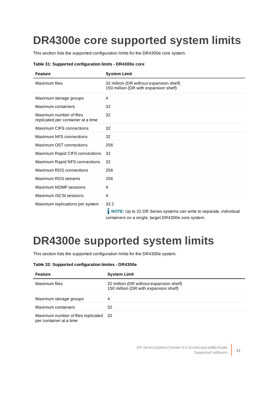### <span id="page-30-0"></span>**DR4300e core supported system limits**

This section lists the supported configuration limits for the DR4300e core system.

| Table 31: Supported configuration limits - DR4300e core |  |
|---------------------------------------------------------|--|
|---------------------------------------------------------|--|

| <b>Feature</b>                                                | <b>System Limit</b>                                                                                                                                                                                                                                                                                                                                                          |
|---------------------------------------------------------------|------------------------------------------------------------------------------------------------------------------------------------------------------------------------------------------------------------------------------------------------------------------------------------------------------------------------------------------------------------------------------|
| Maximum files                                                 | 32 million (DR without expansion shelf)<br>150 million (DR with expansion shelf)                                                                                                                                                                                                                                                                                             |
| Maximum storage groups                                        | 4                                                                                                                                                                                                                                                                                                                                                                            |
| Maximum containers                                            | 32                                                                                                                                                                                                                                                                                                                                                                           |
| Maximum number of files<br>replicated per container at a time | 32                                                                                                                                                                                                                                                                                                                                                                           |
| Maximum CIFS connections                                      | 32                                                                                                                                                                                                                                                                                                                                                                           |
| Maximum NFS connections                                       | 32                                                                                                                                                                                                                                                                                                                                                                           |
| Maximum OST connections                                       | 256                                                                                                                                                                                                                                                                                                                                                                          |
| Maximum Rapid CIFS connections                                | 32                                                                                                                                                                                                                                                                                                                                                                           |
| Maximum Rapid NFS connections                                 | 32                                                                                                                                                                                                                                                                                                                                                                           |
| Maximum RDS connections                                       | 256                                                                                                                                                                                                                                                                                                                                                                          |
| Maximum RDS streams                                           | 256                                                                                                                                                                                                                                                                                                                                                                          |
| Maximum NDMP sessions                                         | 4                                                                                                                                                                                                                                                                                                                                                                            |
| Maximum iSCSI sessions                                        | 4                                                                                                                                                                                                                                                                                                                                                                            |
| Maximum replications per system                               | 32:1<br>$\frac{1}{2}$ MoTE II ( 20 RB 0 $\left( \frac{1}{2} \right)$ ) ( $\left( \frac{1}{2} \right)$ ) ( $\left( \frac{1}{2} \right)$ ) ( $\left( \frac{1}{2} \right)$ ) ( $\left( \frac{1}{2} \right)$ ) ( $\left( \frac{1}{2} \right)$ ) ( $\left( \frac{1}{2} \right)$ ) ( $\left( \frac{1}{2} \right)$ ) ( $\left( \frac{1}{2} \right)$ ) ( $\left( \frac{1}{2} \right$ |

**NOTE:** Up to 32 DR Series systems can write to separate, individual containers on a single, target DR4300e core system.

### <span id="page-30-1"></span>**DR4300e supported system limits**

This section lists the supported configuration limits for the DR4300e system.

#### **Table 32: Supported configuration limites - DR4300e**

| <b>Feature</b>                                                   | <b>System Limit</b>                                                              |
|------------------------------------------------------------------|----------------------------------------------------------------------------------|
| Maximum files                                                    | 32 million (DR without expansion shelf)<br>150 million (DR with expansion shelf) |
| Maximum storage groups                                           | 4                                                                                |
| Maximum containers                                               | 32                                                                               |
| Maximum number of files replicated 32<br>per container at a time |                                                                                  |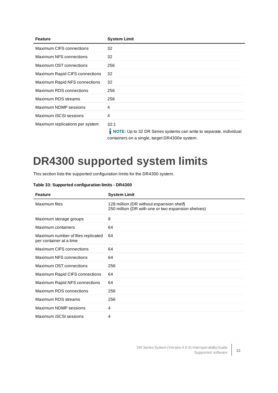| <b>Feature</b>                  | <b>System Limit</b>                                                                                                                                                                                                                                                                                                                                                          |
|---------------------------------|------------------------------------------------------------------------------------------------------------------------------------------------------------------------------------------------------------------------------------------------------------------------------------------------------------------------------------------------------------------------------|
| Maximum CIFS connections        | 32                                                                                                                                                                                                                                                                                                                                                                           |
| Maximum NFS connections         | 32                                                                                                                                                                                                                                                                                                                                                                           |
| Maximum OST connections         | 256                                                                                                                                                                                                                                                                                                                                                                          |
| Maximum Rapid CIFS connections  | 32                                                                                                                                                                                                                                                                                                                                                                           |
| Maximum Rapid NFS connections   | 32                                                                                                                                                                                                                                                                                                                                                                           |
| Maximum RDS connections         | 256                                                                                                                                                                                                                                                                                                                                                                          |
| Maximum RDS streams             | 256                                                                                                                                                                                                                                                                                                                                                                          |
| Maximum NDMP sessions           | 4                                                                                                                                                                                                                                                                                                                                                                            |
| Maximum iSCSI sessions          | $\overline{4}$                                                                                                                                                                                                                                                                                                                                                               |
| Maximum replications per system | 32:1<br>$\frac{1}{2}$ MoTF II ( 20 RB 0 $\left( \frac{1}{2} \right)$ ) ( $\left( \frac{1}{2} \right)$ ) ( $\left( \frac{1}{2} \right)$ ) ( $\left( \frac{1}{2} \right)$ ) ( $\left( \frac{1}{2} \right)$ ) ( $\left( \frac{1}{2} \right)$ ) ( $\left( \frac{1}{2} \right)$ ) ( $\left( \frac{1}{2} \right)$ ) ( $\left( \frac{1}{2} \right)$ ) ( $\left( \frac{1}{2} \right$ |

**NOTE:** Up to 32 DR Series systems can write to separate, individual containers on a single, target DR4300e system.

### <span id="page-31-0"></span>**DR4300 supported system limits**

This section lists the supported configuration limits for the DR4300 system.

#### **Table 33: Supported configuration limits - DR4300**

| <b>Feature</b>                                                | <b>System Limit</b>                                                                            |
|---------------------------------------------------------------|------------------------------------------------------------------------------------------------|
| Maximum files                                                 | 128 million (DR without expansion shelf)<br>250 million (DR with one or two expansion shelves) |
| Maximum storage groups                                        | 8                                                                                              |
| Maximum containers                                            | 64                                                                                             |
| Maximum number of files replicated<br>per container at a time | 64                                                                                             |
| Maximum CIFS connections                                      | 64                                                                                             |
| Maximum NFS connections                                       | 64                                                                                             |
| Maximum OST connections                                       | 256                                                                                            |
| Maximum Rapid CIFS connections                                | 64                                                                                             |
| Maximum Rapid NFS connections                                 | 64                                                                                             |
| Maximum RDS connections                                       | 256                                                                                            |
| Maximum RDS streams                                           | 256                                                                                            |
| Maximum NDMP sessions                                         | 4                                                                                              |
| Maximum iSCSI sessions                                        | 4                                                                                              |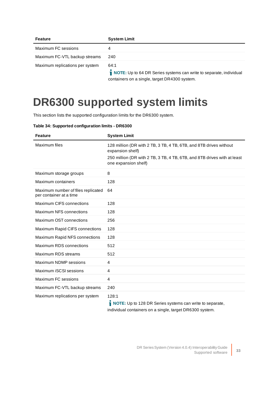| <b>Feature</b>                  | <b>System Limit</b>                                                        |
|---------------------------------|----------------------------------------------------------------------------|
| Maximum FC sessions             | 4                                                                          |
| Maximum FC-VTL backup streams   | 240                                                                        |
| Maximum replications per system | 64:1<br>NOTE: Up to 64 DR Series systems can write to separate, individual |

containers on a single, target DR4300 system.

# <span id="page-32-0"></span>**DR6300 supported system limits**

This section lists the supported configuration limits for the DR6300 system.

|  | Table 34: Supported configuration limits - DR6300 |  |
|--|---------------------------------------------------|--|
|  |                                                   |  |
|  |                                                   |  |

| <b>Feature</b>                                                | <b>System Limit</b>                                                                                                                                                                        |
|---------------------------------------------------------------|--------------------------------------------------------------------------------------------------------------------------------------------------------------------------------------------|
| Maximum files                                                 | 128 million (DR with 2 TB, 3 TB, 4 TB, 6TB, and 8TB drives without<br>expansion shelf)<br>250 million (DR with 2 TB, 3 TB, 4 TB, 6TB, and 8TB drives with at least<br>one expansion shelf) |
| Maximum storage groups                                        | 8                                                                                                                                                                                          |
| Maximum containers                                            | 128                                                                                                                                                                                        |
| Maximum number of files replicated<br>per container at a time | 64                                                                                                                                                                                         |
| Maximum CIFS connections                                      | 128                                                                                                                                                                                        |
| Maximum NFS connections                                       | 128                                                                                                                                                                                        |
| Maximum OST connections                                       | 256                                                                                                                                                                                        |
| Maximum Rapid CIFS connections                                | 128                                                                                                                                                                                        |
| Maximum Rapid NFS connections                                 | 128                                                                                                                                                                                        |
| Maximum RDS connections                                       | 512                                                                                                                                                                                        |
| Maximum RDS streams                                           | 512                                                                                                                                                                                        |
| Maximum NDMP sessions                                         | $\overline{4}$                                                                                                                                                                             |
| Maximum iSCSI sessions                                        | 4                                                                                                                                                                                          |
| Maximum FC sessions                                           | $\overline{4}$                                                                                                                                                                             |
| Maximum FC-VTL backup streams                                 | 240                                                                                                                                                                                        |
| Maximum replications per system                               | 128:1                                                                                                                                                                                      |

**NOTE:** Up to 128 DR Series systems can write to separate, individual containers on a single, target DR6300 system.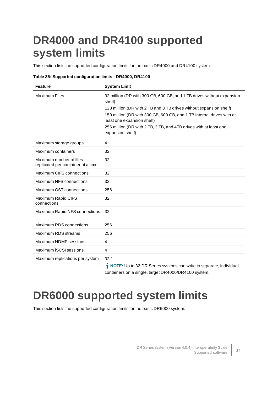### <span id="page-33-0"></span>**DR4000 and DR4100 supported system limits**

This section lists the supported configuration limits for the basic DR4000 and DR4100 system.

#### **Table 35: Supported configuration limits - DR4000, DR4100**

| <b>Feature</b>                                                | <b>System Limit</b>                                                                                                                                                                                                                                                                                                                                   |
|---------------------------------------------------------------|-------------------------------------------------------------------------------------------------------------------------------------------------------------------------------------------------------------------------------------------------------------------------------------------------------------------------------------------------------|
| <b>Maximum Files</b>                                          | 32 million (DR with 300 GB, 600 GB, and 1 TB drives without expansion<br>shelf)<br>128 million (DR with 2 TB and 3 TB drives without expansion shelf)<br>150 million (DR with 300 GB, 600 GB, and 1 TB internal drives with at<br>least one expansion shelf)<br>256 million (DR with 2 TB, 3 TB, and 4TB drives with at least one<br>expansion shelf) |
| Maximum storage groups                                        | 4                                                                                                                                                                                                                                                                                                                                                     |
| Maximum containers                                            | 32                                                                                                                                                                                                                                                                                                                                                    |
| Maximum number of files<br>replicated per container at a time | 32                                                                                                                                                                                                                                                                                                                                                    |
| <b>Maximum CIFS connections</b>                               | 32                                                                                                                                                                                                                                                                                                                                                    |
| Maximum NFS connections                                       | 32                                                                                                                                                                                                                                                                                                                                                    |
| Maximum OST connections                                       | 256                                                                                                                                                                                                                                                                                                                                                   |
| Maximum Rapid CIFS<br>connections                             | 32                                                                                                                                                                                                                                                                                                                                                    |
| Maximum Rapid NFS connections                                 | 32                                                                                                                                                                                                                                                                                                                                                    |
| Maximum RDS connections                                       | 256                                                                                                                                                                                                                                                                                                                                                   |
| Maximum RDS streams                                           | 256                                                                                                                                                                                                                                                                                                                                                   |
| Maximum NDMP sessions                                         | 4                                                                                                                                                                                                                                                                                                                                                     |
| Maximum iSCSI sessions                                        | 4                                                                                                                                                                                                                                                                                                                                                     |
| Maximum replications per system                               | 32:1<br>$\mathbf{M} \bullet \mathbf{F} \mathbf{F}$ is a set of $\mathbf{S}$ is a set of $\mathbf{S}$ is a set of $\mathbf{S}$ is a set of $\mathbf{S}$ is a set of $\mathbf{S}$ is a set of $\mathbf{S}$ is a set of $\mathbf{S}$ is a set of $\mathbf{S}$ is a set of $\mathbf{S}$ is a set                                                          |

**NOTE:** Up to 32 DR Series systems can write to separate, individual containers on a single, target DR4000/DR4100 system.

### <span id="page-33-1"></span>**DR6000 supported system limits**

This section lists the supported configuration limits for the basic DR6000 system.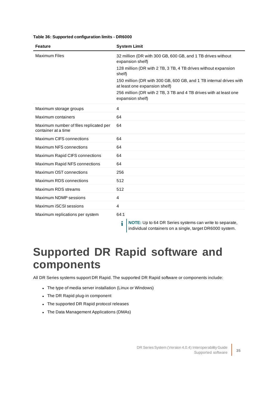#### **Table 36: Supported configuration limits - DR6000**

| <b>Feature</b>                                                | <b>System Limit</b>                                                                                                                                                                                                                                                                                                                                         |
|---------------------------------------------------------------|-------------------------------------------------------------------------------------------------------------------------------------------------------------------------------------------------------------------------------------------------------------------------------------------------------------------------------------------------------------|
| <b>Maximum Files</b>                                          | 32 million (DR with 300 GB, 600 GB, and 1 TB drives without<br>expansion shelf)<br>128 million (DR with 2 TB, 3 TB, 4 TB drives without expansion<br>shelf)<br>150 million (DR with 300 GB, 600 GB, and 1 TB internal drives with<br>at least one expansion shelf)<br>256 million (DR with 2 TB, 3 TB and 4 TB drives with at least one<br>expansion shelf) |
| Maximum storage groups                                        | 4                                                                                                                                                                                                                                                                                                                                                           |
| Maximum containers                                            | 64                                                                                                                                                                                                                                                                                                                                                          |
| Maximum number of files replicated per<br>container at a time | 64                                                                                                                                                                                                                                                                                                                                                          |
| <b>Maximum CIFS connections</b>                               | 64                                                                                                                                                                                                                                                                                                                                                          |
| Maximum NFS connections                                       | 64                                                                                                                                                                                                                                                                                                                                                          |
| Maximum Rapid CIFS connections                                | 64                                                                                                                                                                                                                                                                                                                                                          |
| Maximum Rapid NFS connections                                 | 64                                                                                                                                                                                                                                                                                                                                                          |
| Maximum OST connections                                       | 256                                                                                                                                                                                                                                                                                                                                                         |
| Maximum RDS connections                                       | 512                                                                                                                                                                                                                                                                                                                                                         |
| Maximum RDS streams                                           | 512                                                                                                                                                                                                                                                                                                                                                         |
| Maximum NDMP sessions                                         | 4                                                                                                                                                                                                                                                                                                                                                           |
| Maximum iSCSI sessions                                        | 4                                                                                                                                                                                                                                                                                                                                                           |
| Maximum replications per system                               | 64:1                                                                                                                                                                                                                                                                                                                                                        |

**NOTE:** Up to 64 DR Series systems can write to separate, individual containers on a single, target DR6000 system.

### <span id="page-34-0"></span>**Supported DR Rapid software and components**

i

All DR Series systems support DR Rapid. The supported DR Rapid software or components include:

- The type of media server installation (Linux or Windows)
- The DR Rapid plug-in component
- The supported DR Rapid protocol releases
- The Data Management Applications (DMAs)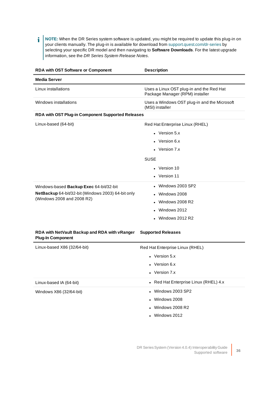ì **NOTE:** When the DR Series system software is updated, you might be required to update this plug-in on your clients manually. The plug-in is available for download from [support.quest.com/dr-series](http://support.quest.com/dr-series) by selecting your specific DR model and then navigating to **Software Downloads**. For the latest upgrade information, see the DR Series System Release Notes.

| <b>RDA with OST Software or Component</b>                                 | <b>Description</b>                                                          |
|---------------------------------------------------------------------------|-----------------------------------------------------------------------------|
| <b>Media Server</b>                                                       |                                                                             |
| Linux installations                                                       | Uses a Linux OST plug-in and the Red Hat<br>Package Manager (RPM) installer |
| Windows installations                                                     | Uses a Windows OST plug-in and the Microsoft<br>(MSI) installer             |
| RDA with OST Plug-in Component Supported Releases                         |                                                                             |
| Linux-based (64-bit)                                                      | Red Hat Enterprise Linux (RHEL)                                             |
|                                                                           | • Version $5.x$                                                             |
|                                                                           | Version 6.x                                                                 |
|                                                                           | • Version $7.x$                                                             |
|                                                                           | <b>SUSE</b>                                                                 |
|                                                                           | • Version 10                                                                |
|                                                                           | • Version 11                                                                |
| Windows-based Backup Exec 64-bit/32-bit                                   | Windows 2003 SP2                                                            |
| NetBackup 64-bit/32-bit (Windows 2003) 64-bit only                        | Windows 2008                                                                |
| (Windows 2008 and 2008 R2)                                                | <b>Windows 2008 R2</b>                                                      |
|                                                                           | Windows 2012                                                                |
|                                                                           | $\bullet$ Windows 2012 R2                                                   |
| RDA with NetVault Backup and RDA with vRanger<br><b>Plug-In Component</b> | <b>Supported Releases</b>                                                   |
| Linux-based X86 (32/64-bit)                                               | Red Hat Enterprise Linux (RHEL)                                             |
|                                                                           | • Version $5.x$                                                             |
|                                                                           | Version 6.x                                                                 |
|                                                                           | • Version $7.x$                                                             |
| Linux-based IA (64-bit)                                                   | Red Hat Enterprise Linux (RHEL) 4.x<br>$\bullet$                            |
| Windows X86 (32/64-bit)                                                   | Windows 2003 SP2                                                            |
|                                                                           | Windows 2008                                                                |
|                                                                           | Windows 2008 R2                                                             |
|                                                                           | Windows 2012                                                                |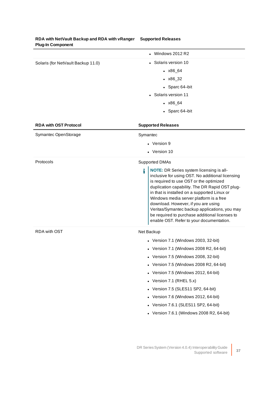| <b>Flug-III Component</b>          |                                                                                                                                                                                                                                                                                                                                                                                                                                                                                 |
|------------------------------------|---------------------------------------------------------------------------------------------------------------------------------------------------------------------------------------------------------------------------------------------------------------------------------------------------------------------------------------------------------------------------------------------------------------------------------------------------------------------------------|
|                                    | $\bullet$ Windows 2012 R2                                                                                                                                                                                                                                                                                                                                                                                                                                                       |
| Solaris (for NetVault Backup 11.0) | • Solaris version 10                                                                                                                                                                                                                                                                                                                                                                                                                                                            |
|                                    | $\cdot$ x86_64                                                                                                                                                                                                                                                                                                                                                                                                                                                                  |
|                                    | $\cdot$ $x86\_32$                                                                                                                                                                                                                                                                                                                                                                                                                                                               |
|                                    | • Sparc 64-bit                                                                                                                                                                                                                                                                                                                                                                                                                                                                  |
|                                    | • Solaris version 11                                                                                                                                                                                                                                                                                                                                                                                                                                                            |
|                                    | $\cdot$ $x86\_64$                                                                                                                                                                                                                                                                                                                                                                                                                                                               |
|                                    | • Sparc 64-bit                                                                                                                                                                                                                                                                                                                                                                                                                                                                  |
| <b>RDA with OST Protocol</b>       | <b>Supported Releases</b>                                                                                                                                                                                                                                                                                                                                                                                                                                                       |
| Symantec OpenStorage               | Symantec                                                                                                                                                                                                                                                                                                                                                                                                                                                                        |
|                                    | • Version 9                                                                                                                                                                                                                                                                                                                                                                                                                                                                     |
|                                    | • Version 10                                                                                                                                                                                                                                                                                                                                                                                                                                                                    |
| Protocols                          | <b>Supported DMAs</b>                                                                                                                                                                                                                                                                                                                                                                                                                                                           |
|                                    | i<br>NOTE: DR Series system licensing is all-<br>inclusive for using OST. No additional licensing<br>is required to use OST or the optimized<br>duplication capability. The DR Rapid OST plug-<br>in that is installed on a supported Linux or<br>Windows media server platform is a free<br>download. However, if you are using<br>Veritas/Symantec backup applications, you may<br>be required to purchase additional licenses to<br>enable OST. Refer to your documentation. |
| <b>RDA with OST</b>                | Net Backup                                                                                                                                                                                                                                                                                                                                                                                                                                                                      |
|                                    | • Version 7.1 (Windows 2003, 32-bit)                                                                                                                                                                                                                                                                                                                                                                                                                                            |
|                                    | • Version 7.1 (Windows 2008 R2, 64-bit)                                                                                                                                                                                                                                                                                                                                                                                                                                         |
|                                    | Version 7.5 (Windows 2008, 32-bit)                                                                                                                                                                                                                                                                                                                                                                                                                                              |
|                                    | Version 7.5 (Windows 2008 R2, 64-bit)                                                                                                                                                                                                                                                                                                                                                                                                                                           |
|                                    | Version 7.5 (Windows 2012, 64-bit)<br>٠                                                                                                                                                                                                                                                                                                                                                                                                                                         |
|                                    | Version 7.1 (RHEL 5.x)<br>$\bullet$                                                                                                                                                                                                                                                                                                                                                                                                                                             |
|                                    | Version 7.5 (SLES11 SP2, 64-bit)<br>٠                                                                                                                                                                                                                                                                                                                                                                                                                                           |
|                                    | Version 7.6 (Windows 2012, 64-bit)                                                                                                                                                                                                                                                                                                                                                                                                                                              |
|                                    | Version 7.6.1 (SLES11 SP2, 64-bit)                                                                                                                                                                                                                                                                                                                                                                                                                                              |
|                                    | Version 7.6.1 (Windows 2008 R2, 64-bit)<br>$\bullet$                                                                                                                                                                                                                                                                                                                                                                                                                            |
|                                    |                                                                                                                                                                                                                                                                                                                                                                                                                                                                                 |
|                                    |                                                                                                                                                                                                                                                                                                                                                                                                                                                                                 |

#### **RDA with NetVault Backup and RDA with vRanger Supported Releases Plug-In Component**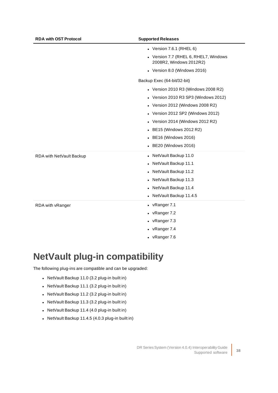| <b>RDA with OST Protocol</b> | <b>Supported Releases</b>                                        |
|------------------------------|------------------------------------------------------------------|
|                              | • Version 7.6.1 (RHEL 6)                                         |
|                              | • Version 7.7 (RHEL 6, RHEL7, Windows<br>2008R2, Windows 2012R2) |
|                              | • Version 8.0 (Windows 2016)                                     |
|                              | Backup Exec (64-bit/32-bit)                                      |
|                              | • Version 2010 R3 (Windows 2008 R2)                              |
|                              | • Version 2010 R3 SP3 (Windows 2012)                             |
|                              | Version 2012 (Windows 2008 R2)                                   |
|                              | • Version 2012 SP2 (Windows 2012)                                |
|                              | • Version 2014 (Windows 2012 R2)                                 |
|                              | • BE15 (Windows 2012 R2)                                         |
|                              | • BE16 (Windows 2016)                                            |
|                              | • BE20 (Windows 2016)                                            |
| RDA with NetVault Backup     | • NetVault Backup 11.0                                           |
|                              | NetVault Backup 11.1                                             |
|                              | • NetVault Backup 11.2                                           |
|                              | • NetVault Backup 11.3                                           |
|                              | • NetVault Backup 11.4                                           |
|                              | • NetVault Backup 11.4.5                                         |
| RDA with vRanger             | $\bullet$ vRanger 7.1                                            |
|                              | • $v$ Ranger 7.2                                                 |
|                              | • vRanger 7.3                                                    |
|                              | • $v$ Ranger 7.4                                                 |
|                              | • $v$ Ranger 7.6                                                 |

### <span id="page-37-0"></span>**NetVault plug-in compatibility**

The following plug-ins are compatible and can be upgraded:

- NetVault Backup 11.0 (3.2 plug-in built in)
- NetVault Backup 11.1 (3.2 plug-in built in)
- NetVault Backup 11.2 (3.2 plug-in built in)
- NetVault Backup 11.3 (3.2 plug-in built in)
- NetVault Backup 11.4 (4.0 plug-in built in)
- NetVault Backup 11.4.5 (4.0.3 plug-in built in)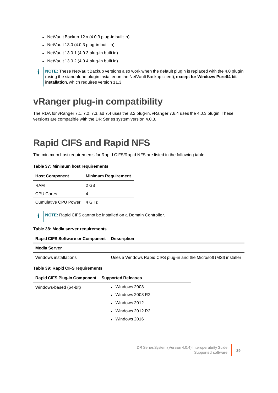- NetVault Backup  $12.x(4.0.3$  plug-in built in)
- $\bullet$  NetVault 13.0 (4.0.3 plug-in built in)
- NetVault  $13.0.1$  (4.0.3 plug-in built in)
- NetVault  $13.0.2$  (4.0.4 plug-in built in)

**NOTE:** These NetVault Backup versions also work when the default plugin is replaced with the 4.0 plugin i (using the standalone plugin installer on the NetVault Backup client), **except for Windows Pure64 bit installation**, which requires version 11.3.

### <span id="page-38-0"></span>**vRanger plug-in compatibility**

The RDA for vRanger 7.1, 7.2, 7.3, ad 7.4 uses the 3.2 plug-in. vRanger 7.6.4 uses the 4.0.3 plugin. These versions are compatible with the DR Series system version 4.0.3.

### <span id="page-38-1"></span>**Rapid CIFS and Rapid NFS**

The minimum host requirements for Rapid CIFS/Rapid NFS are listed in the following table.

| <b>Host Component</b> | <b>Minimum Requirement</b> |
|-----------------------|----------------------------|
| RAM                   | 2 GB                       |
| <b>CPU Cores</b>      |                            |
|                       |                            |

Cumulative CPU Power 4 GHz

**Table 37: Minimum host requirements**

i l **NOTE:** Rapid CIFS cannot be installed on a Domain Controller.

#### **Table 38: Media server requirements**

| <b>Rapid CIFS Software or Component</b> | <b>Description</b>                                                  |
|-----------------------------------------|---------------------------------------------------------------------|
| <b>Media Server</b>                     |                                                                     |
| Windows installations                   | Uses a Windows Rapid CIFS plug-in and the Microsoft (MSI) installer |
| Table 39: Rapid CIFS requirements       |                                                                     |
| <b>Rapid CIFS Plug-In Component</b>     | <b>Supported Releases</b>                                           |

| Windows-based (64-bit) | $\bullet$ Windows 2008    |
|------------------------|---------------------------|
|                        | $\bullet$ Windows 2008 R2 |
|                        | $\bullet$ Windows 2012    |
|                        | $\bullet$ Windows 2012 R2 |
|                        | $\bullet$ Windows 2016    |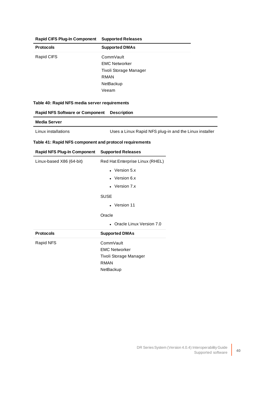| <b>Rapid CIFS Plug-In Component</b> | <b>Supported Releases</b> |
|-------------------------------------|---------------------------|
| <b>Protocols</b>                    | <b>Supported DMAs</b>     |
| Rapid CIFS                          | CommVault                 |
|                                     | <b>EMC Networker</b>      |
|                                     | Tivoli Storage Manager    |
|                                     | RMAN                      |
|                                     | NetBackup                 |
|                                     | Veeam                     |

#### **Table 40: Rapid NFS media server requirements**

| <b>Rapid NFS Software or Component</b> | <b>Description</b>                                     |
|----------------------------------------|--------------------------------------------------------|
| Media Server                           |                                                        |
| Linux installations                    | Uses a Linux Rapid NFS plug-in and the Linux installer |

#### **Table 41: Rapid NFS component and protocol requirements**

|  | Rapid NFS Plug-In Component Supported Releases |
|--|------------------------------------------------|
|  |                                                |

| Linux-based X86 (64-bit) | Red Hat Enterprise Linux (RHEL) |
|--------------------------|---------------------------------|
|                          | • Version $5.x$                 |
|                          | $\bullet$ Version 6.x           |
|                          | • Version $7.x$                 |
|                          | <b>SUSE</b>                     |
|                          | • Version 11                    |
|                          | Oracle                          |
|                          | • Oracle Linux Version 7.0      |
| <b>Protocols</b>         | <b>Supported DMAs</b>           |
| Rapid NFS                | CommVault                       |
|                          | <b>EMC Networker</b>            |
|                          | Tivoli Storage Manager          |
|                          | <b>RMAN</b>                     |
|                          | NetBackup                       |